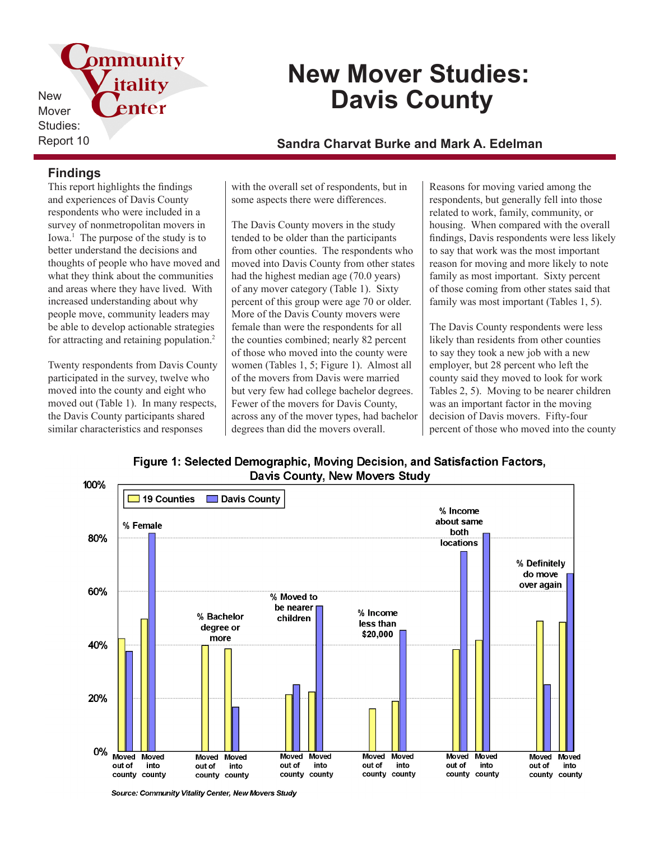

# **New Mover Studies: Davis County**

## Report 10 **Sandra Charvat Burke and Mark A. Edelman**

## **Findings**

This report highlights the findings and experiences of Davis County respondents who were included in a survey of nonmetropolitan movers in Iowa.<sup>1</sup> The purpose of the study is to better understand the decisions and thoughts of people who have moved and what they think about the communities and areas where they have lived. With increased understanding about why people move, community leaders may be able to develop actionable strategies for attracting and retaining population.<sup>2</sup>

Twenty respondents from Davis County participated in the survey, twelve who moved into the county and eight who moved out (Table 1). In many respects, the Davis County participants shared similar characteristics and responses

with the overall set of respondents, but in some aspects there were differences.

The Davis County movers in the study tended to be older than the participants from other counties. The respondents who moved into Davis County from other states had the highest median age (70.0 years) of any mover category (Table 1). Sixty percent of this group were age 70 or older. More of the Davis County movers were female than were the respondents for all the counties combined; nearly 82 percent of those who moved into the county were women (Tables 1, 5; Figure 1). Almost all of the movers from Davis were married but very few had college bachelor degrees. Fewer of the movers for Davis County, across any of the mover types, had bachelor degrees than did the movers overall.

Reasons for moving varied among the respondents, but generally fell into those related to work, family, community, or housing. When compared with the overall findings, Davis respondents were less likely to say that work was the most important reason for moving and more likely to note family as most important. Sixty percent of those coming from other states said that family was most important (Tables 1, 5).

The Davis County respondents were less likely than residents from other counties to say they took a new job with a new employer, but 28 percent who left the county said they moved to look for work Tables 2, 5). Moving to be nearer children was an important factor in the moving decision of Davis movers. Fifty-four percent of those who moved into the county





Source: Community Vitality Center, New Movers Study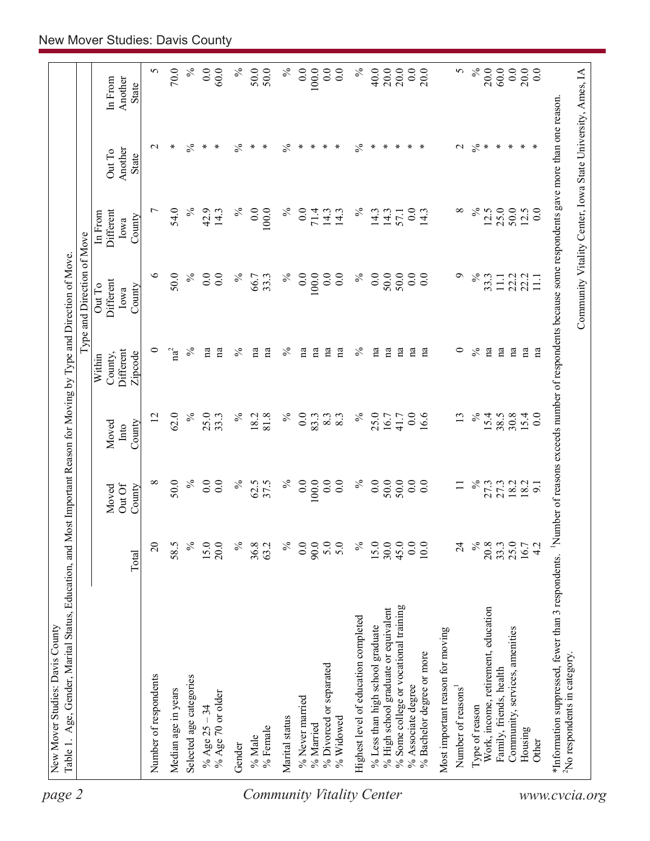| Number of respondents<br>Selected age categories<br>Median age in years<br>% Age $25 - 34$                                                                                           |                  |                 |                          |                                | Type and Direction of Move  |                              |                                                            |                    |
|--------------------------------------------------------------------------------------------------------------------------------------------------------------------------------------|------------------|-----------------|--------------------------|--------------------------------|-----------------------------|------------------------------|------------------------------------------------------------|--------------------|
|                                                                                                                                                                                      |                  | Out Of<br>Moved | Moved<br>Into            | Different<br>County,<br>Within | Different<br>Out To<br>Iowa | Different<br>In From<br>Iowa | Another<br>Out To                                          | Another<br>In From |
|                                                                                                                                                                                      | Total            | County          | County                   | Zipcode                        | County                      | County                       | State                                                      | <b>State</b>       |
|                                                                                                                                                                                      | $\overline{c}$   | ${}^{\circ}$    | 12                       | $\circ$                        | $\circ$                     | ↽                            | $\mathbf{\sim}$                                            | 5                  |
|                                                                                                                                                                                      | 58.5             | 50.0            | 62.0                     | $\mathrm{na}^2$                | 50.0                        | 54.0                         | ∗                                                          | 70.0               |
|                                                                                                                                                                                      | $\%$             | $\%$            | $\%$                     | $\%$                           | $\%$                        | $\%$                         | $\frac{5}{6}$                                              | $\%$               |
|                                                                                                                                                                                      | 15.0             | 0.0             | 25.0                     | na                             | 0.0                         | 42.9                         | ∗                                                          | 0.0                |
| % Age 70 or older                                                                                                                                                                    | 20.0             | 0.0             | 33.3                     | na                             | $\overline{0}$ .            | 14.3                         | ∗                                                          | 60.0               |
| Gender                                                                                                                                                                               | $\%$             | $\%$            | $\%$                     | $\%$                           | $\%$                        | $\%$                         | $\%$                                                       | $\%$               |
| $\%$ Male                                                                                                                                                                            | 36.8             | 62.5            | 18.2                     | na                             | 66.7                        | $\overline{0.0}$             | ∗                                                          | 50.0               |
| % Female                                                                                                                                                                             | 63.2             | 37.5            | 81.8                     | na                             | 33.3                        | 100.0                        | ∗                                                          | 50.0               |
| Marital status<br><b>Community Vitality Center</b>                                                                                                                                   | $\%$             | $\%$            | $\%$                     | $\%$                           | $\%$                        | $\%$                         | $\frac{5}{6}$                                              | $\%$               |
| % Never married                                                                                                                                                                      | $\overline{0}$ . | 0.0             | $\overline{0}$ .         | na                             | 0.0                         | 0.0                          | ∗                                                          | 0.0                |
| % Married                                                                                                                                                                            | 90.0             | 100.0           | 83.3                     | $\mathbf{a}$                   | 100.0                       | 71.4                         | $\ast$                                                     | 100.0              |
| % Divorced or separated                                                                                                                                                              | 5.0              | 0.0             | 8.3                      | na                             | $\overline{0}$ .            | 14.3                         | ∗                                                          | 0.0                |
| % Widowed                                                                                                                                                                            | 5.0              | 0.0             | 8.3                      | $\mathbf{a}$                   | $\overline{0}$ .            | 14.3                         | ∗                                                          | 0.0                |
| Highest level of education completed                                                                                                                                                 | $\%$             | $\%$            | $\%$                     | $\%$                           | $\%$                        | $\%$                         | $\frac{5}{6}$                                              | $\%$               |
| % Less than high school graduate                                                                                                                                                     | 15.0             | 0.0             | 25.0                     | $\mathbf{a}$                   | 0.0                         | 14.3                         | ∗                                                          | 40.0               |
| % High school graduate or equivalent                                                                                                                                                 | 30.0             | 50.0            | 16.7                     | na                             | 50.0                        | 14.3                         | ∗                                                          | 20.0               |
| % Some college or vocational training                                                                                                                                                | 45.0             | 50.0            | 41.7                     | $\mathbf{a}$                   | 50.0                        | 57.1                         | ∗                                                          | 20.0               |
| % Bachelor degree or more<br>% Associate degree                                                                                                                                      | 0.0<br>10.0      | 0.0<br>0.0      | $\overline{0}$ .<br>16.6 | $\mathbf{a}$<br>na             | 0.0<br>0.0                  | 0.0<br>14.3                  | ∗<br>∗                                                     | 0.0<br>20.0        |
| Most important reason for moving                                                                                                                                                     |                  |                 |                          |                                |                             |                              |                                                            |                    |
| Number of reasons                                                                                                                                                                    | $\overline{24}$  | $\Box$          | 13                       | $\circ$                        | $\sigma$                    | ${}^{\circ}$                 | $\mathbf 2$                                                | 5                  |
| Type of reason                                                                                                                                                                       | $\%$             | $\%$            | $\%$                     | $\frac{5}{6}$                  | $\%$                        | $\%$                         | $\%$                                                       | $\%$               |
| Work, income, retirement, education                                                                                                                                                  | 20.8             | 27.3            | 15.4                     | na                             | 33.3                        | 12.5                         | $\ast$                                                     | 20.0               |
| Family, friends, health                                                                                                                                                              |                  | 27.3            | 38.5                     | na                             | $\Xi$                       | 25.0                         | $\ast$                                                     | 60.0               |
| Community, services, amenities                                                                                                                                                       | $33.3$<br>$25.0$ | 18.2            | 30.8                     | na                             | 22.2                        | 50.0                         | $\ast$                                                     | 0.0                |
| Housing                                                                                                                                                                              | 16.7             | 18.2            | $15.4$<br>0.0            | m                              | 22.2                        | 12.5                         | $\ast$                                                     | 20.0               |
| Other                                                                                                                                                                                | 4.2              | $\overline{5}$  |                          | $\mathbf{n}$ a                 | 111                         | 0.0                          | ∗                                                          | 0.0                |
| *Information suppressed, fewer than 3 respondents. <sup>1</sup> Number of reasons exceeds number of respondents because some respondents gave more than one reason.<br>www.cvcia.org |                  |                 |                          |                                |                             |                              |                                                            |                    |
| <sup>2</sup> No respondents in category.                                                                                                                                             |                  |                 |                          |                                |                             |                              |                                                            |                    |
|                                                                                                                                                                                      |                  |                 |                          |                                |                             |                              | Community Vitality Center, Iowa State University, Ames, IA |                    |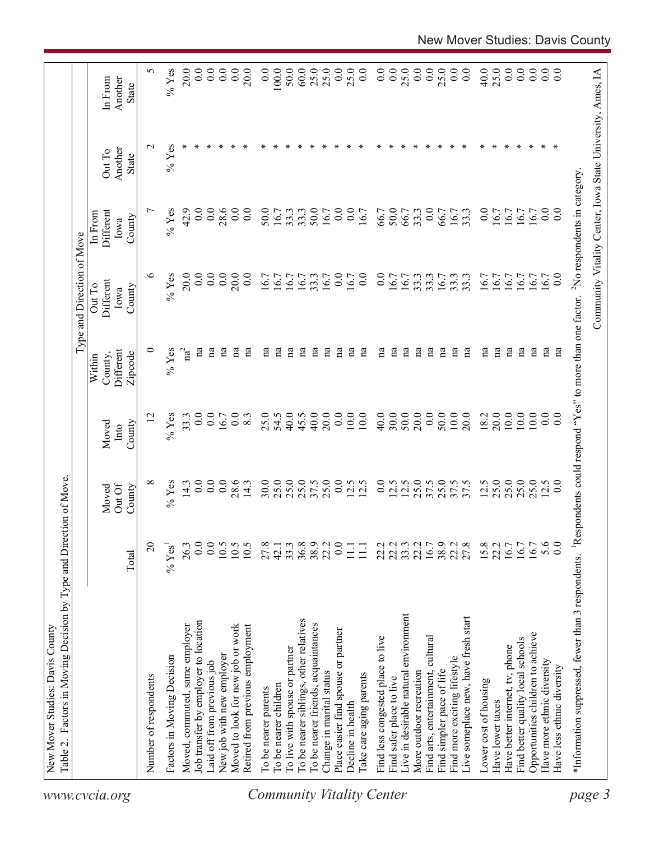| 0.0<br>0.0<br>0.0<br>S<br>$%$ Yes<br>20.0<br>0.0<br>0.0<br>0.0<br>20.0<br>0.0<br>100.0<br>50.0<br>60.0<br>25.0<br>25.0<br>0.0<br>25.0<br>0.0<br>25.0<br>0.0<br>0.0<br>25.0<br>$\overline{0}$ .<br>40.0<br>25.0<br>0.0<br>0.0<br>0.0<br>0.0<br>0.0<br>Community Vitality Center, Iowa State University, Ames, IA<br>$\overline{0.0}$<br>Another<br>In From<br><b>State</b><br>$%$ Yes<br>$\mathbf{\sim}$<br>∗<br>∗<br>∗<br>$\ast$<br>∗<br>∗<br>Another<br>Out To<br><b>State</b><br>*Information suppressed, fewer than 3 respondents. <sup>1</sup> Respondents could respond "Yes" to more than one factor. <sup>2</sup> No respondents in category.<br>50.0<br><u>L</u><br>$%$ Yes<br>42.9<br>0.0<br>0.0<br>50.0<br>50.0<br>0.0<br>0.0<br>28.6<br>$\overline{0.0}$<br>$\overline{0.0}$<br>33.3<br>16.7<br>$\overline{0}$ .<br>$\overline{0.0}$<br>$\overline{0.0}$<br>66.7<br>66.7<br>33.3<br>66.7<br>16.7<br>33.3<br>16.7<br>$\overline{0}$<br>Different<br>16.7<br>33.3<br>16.7<br>16.7<br>16.7<br>In From<br>16.7<br>County<br>Iowa<br>$\circ$<br>20.0<br>20.0<br>$\%$ Yes<br>$\overline{0}$ .<br>$\overline{0}$ .<br>0.0<br>16.7<br>33.3<br>16.7<br>0.0<br>33.3<br>16.7<br>0.0<br>16.7<br>16.7<br>0.0<br>16.7<br>0.0<br>16.7<br>33.3<br>6.7<br>$_{\rm 0.0}$<br>16.7<br>16.7<br>33.3<br>33.3<br>16.7<br>6.7<br>16.7<br>16.7<br>16.7<br>Different<br>Out To<br>County<br>Iowa<br>na<br>na<br>na<br>na<br>na<br>na<br>na<br>na<br>na<br>na<br>na<br>na<br>na<br>na<br>na<br>na<br>$\mathbf{a}$<br>na<br>$\mathbf{a}$<br>na<br>na<br>na<br>na<br>na<br>$\mathbf{a}$<br>na<br>0<br>$%$ Yes<br>$na^2$<br>na<br>na<br>na<br>Different<br>Zipcode<br>County,<br>Within<br>0.0<br>40.0<br>20.0<br>30.0<br>50.0<br>20.0<br>0.0<br>50.0<br>$10.0\,$<br>20.0<br>20.0<br>10.0<br>10.0<br>0.0<br>12<br>$%$ Yes<br>33.3<br>$\overline{0}$ .<br>0.0<br>25.0<br>54.5<br>45.5<br>0.0<br>10.0<br>10.0<br>40.0<br>18.2<br>10.0<br>8.3<br>40.0<br>$\overline{0}$ .<br>16.7<br>County<br>Moved<br>Into<br>25.0<br>25.0<br>25.0<br>25.0<br>0.0<br>0.0<br>0.0<br>28.6<br>30.0<br>25.0<br>25.0<br>25.0<br>37.5<br>0.0<br>12.5<br>25.0<br>25.0<br>37.5<br>37.5<br>12.5<br>25.0<br>12.5<br>${}^{\circ}$<br>$%$ Yes<br>14.3<br>12.5<br>12.5<br>$\overline{0}$ .<br>12.5<br>37.5<br>0.0<br>14.3<br>Out Of<br>County<br>Moved<br>5.6<br>$\overline{c}$<br>0.0<br>$\frac{10.5}{10.5}$<br>36.8<br>38.9<br>22.2<br>38.9<br>22.2<br>27.8<br>0.0<br>0.0<br>27.8<br>33.3<br>0.0<br>22.2<br>22.2<br>$33.3$<br>$22.2$<br>$16.7$<br>$15.8$<br>$22.2$<br>$16.7$<br>16.7<br>16.7<br>26.3<br>42.1<br>$%$ Yes <sup>1</sup><br>$11.1\,$<br>$\Xi$<br>Total<br>live in desirable natural environment<br>Live someplace new, have fresh start<br>To be nearer siblings, other relatives<br>Job transfer by employer to location<br>To be nearer friends, acquaintances<br>Retired from previous employment<br>Moved, commuted, same employer<br>Moved to look for new job or work<br>Place easier find spouse or partner<br>Opportunities children to achieve<br>Find less congested place to live<br>Find arts, entertainment, cultural<br>Find better quality local schools<br>Have better internet, tv, phone<br>To live with spouse or partner<br>New job with new employer<br>Factors in Moving Decision<br>Find more exciting lifestyle<br>Have more ethnic diversity<br>Laid off from previous job<br>Have less ethnic diversity<br>Find simpler pace of life<br>More outdoor recreation<br>Change in marital status<br>Take care aging parents<br>Number of respondents<br>Find safer place to live<br>Lower cost of housing<br>To be nearer children<br>To be nearer parents<br>Have lower taxes<br>Decline in health |  |  |  | Type and Direction of Move |  |  |
|--------------------------------------------------------------------------------------------------------------------------------------------------------------------------------------------------------------------------------------------------------------------------------------------------------------------------------------------------------------------------------------------------------------------------------------------------------------------------------------------------------------------------------------------------------------------------------------------------------------------------------------------------------------------------------------------------------------------------------------------------------------------------------------------------------------------------------------------------------------------------------------------------------------------------------------------------------------------------------------------------------------------------------------------------------------------------------------------------------------------------------------------------------------------------------------------------------------------------------------------------------------------------------------------------------------------------------------------------------------------------------------------------------------------------------------------------------------------------------------------------------------------------------------------------------------------------------------------------------------------------------------------------------------------------------------------------------------------------------------------------------------------------------------------------------------------------------------------------------------------------------------------------------------------------------------------------------------------------------------------------------------------------------------------------------------------------------------------------------------------------------------------------------------------------------------------------------------------------------------------------------------------------------------------------------------------------------------------------------------------------------------------------------------------------------------------------------------------------------------------------------------------------------------------------------------------------------------------------------------------------------------------------------------------------------------------------------------------------------------------------------------------------------------------------------------------------------------------------------------------------------------------------------------------------------------------------------------------------------------------------------------------------------------------------------------------------------------------------------------------------------------------------------------------------------------------------------------------------------------------------------------------------------------------------------------------------------------------------------------------------------------------------------------------------------------------------------------------------------------------------------------------------------------------------------------------------------------------------------------------------------------------------------------------------------------|--|--|--|----------------------------|--|--|
|                                                                                                                                                                                                                                                                                                                                                                                                                                                                                                                                                                                                                                                                                                                                                                                                                                                                                                                                                                                                                                                                                                                                                                                                                                                                                                                                                                                                                                                                                                                                                                                                                                                                                                                                                                                                                                                                                                                                                                                                                                                                                                                                                                                                                                                                                                                                                                                                                                                                                                                                                                                                                                                                                                                                                                                                                                                                                                                                                                                                                                                                                                                                                                                                                                                                                                                                                                                                                                                                                                                                                                                                                                                                                      |  |  |  |                            |  |  |
|                                                                                                                                                                                                                                                                                                                                                                                                                                                                                                                                                                                                                                                                                                                                                                                                                                                                                                                                                                                                                                                                                                                                                                                                                                                                                                                                                                                                                                                                                                                                                                                                                                                                                                                                                                                                                                                                                                                                                                                                                                                                                                                                                                                                                                                                                                                                                                                                                                                                                                                                                                                                                                                                                                                                                                                                                                                                                                                                                                                                                                                                                                                                                                                                                                                                                                                                                                                                                                                                                                                                                                                                                                                                                      |  |  |  |                            |  |  |
|                                                                                                                                                                                                                                                                                                                                                                                                                                                                                                                                                                                                                                                                                                                                                                                                                                                                                                                                                                                                                                                                                                                                                                                                                                                                                                                                                                                                                                                                                                                                                                                                                                                                                                                                                                                                                                                                                                                                                                                                                                                                                                                                                                                                                                                                                                                                                                                                                                                                                                                                                                                                                                                                                                                                                                                                                                                                                                                                                                                                                                                                                                                                                                                                                                                                                                                                                                                                                                                                                                                                                                                                                                                                                      |  |  |  |                            |  |  |
|                                                                                                                                                                                                                                                                                                                                                                                                                                                                                                                                                                                                                                                                                                                                                                                                                                                                                                                                                                                                                                                                                                                                                                                                                                                                                                                                                                                                                                                                                                                                                                                                                                                                                                                                                                                                                                                                                                                                                                                                                                                                                                                                                                                                                                                                                                                                                                                                                                                                                                                                                                                                                                                                                                                                                                                                                                                                                                                                                                                                                                                                                                                                                                                                                                                                                                                                                                                                                                                                                                                                                                                                                                                                                      |  |  |  |                            |  |  |
|                                                                                                                                                                                                                                                                                                                                                                                                                                                                                                                                                                                                                                                                                                                                                                                                                                                                                                                                                                                                                                                                                                                                                                                                                                                                                                                                                                                                                                                                                                                                                                                                                                                                                                                                                                                                                                                                                                                                                                                                                                                                                                                                                                                                                                                                                                                                                                                                                                                                                                                                                                                                                                                                                                                                                                                                                                                                                                                                                                                                                                                                                                                                                                                                                                                                                                                                                                                                                                                                                                                                                                                                                                                                                      |  |  |  |                            |  |  |
|                                                                                                                                                                                                                                                                                                                                                                                                                                                                                                                                                                                                                                                                                                                                                                                                                                                                                                                                                                                                                                                                                                                                                                                                                                                                                                                                                                                                                                                                                                                                                                                                                                                                                                                                                                                                                                                                                                                                                                                                                                                                                                                                                                                                                                                                                                                                                                                                                                                                                                                                                                                                                                                                                                                                                                                                                                                                                                                                                                                                                                                                                                                                                                                                                                                                                                                                                                                                                                                                                                                                                                                                                                                                                      |  |  |  |                            |  |  |
|                                                                                                                                                                                                                                                                                                                                                                                                                                                                                                                                                                                                                                                                                                                                                                                                                                                                                                                                                                                                                                                                                                                                                                                                                                                                                                                                                                                                                                                                                                                                                                                                                                                                                                                                                                                                                                                                                                                                                                                                                                                                                                                                                                                                                                                                                                                                                                                                                                                                                                                                                                                                                                                                                                                                                                                                                                                                                                                                                                                                                                                                                                                                                                                                                                                                                                                                                                                                                                                                                                                                                                                                                                                                                      |  |  |  |                            |  |  |
|                                                                                                                                                                                                                                                                                                                                                                                                                                                                                                                                                                                                                                                                                                                                                                                                                                                                                                                                                                                                                                                                                                                                                                                                                                                                                                                                                                                                                                                                                                                                                                                                                                                                                                                                                                                                                                                                                                                                                                                                                                                                                                                                                                                                                                                                                                                                                                                                                                                                                                                                                                                                                                                                                                                                                                                                                                                                                                                                                                                                                                                                                                                                                                                                                                                                                                                                                                                                                                                                                                                                                                                                                                                                                      |  |  |  |                            |  |  |
|                                                                                                                                                                                                                                                                                                                                                                                                                                                                                                                                                                                                                                                                                                                                                                                                                                                                                                                                                                                                                                                                                                                                                                                                                                                                                                                                                                                                                                                                                                                                                                                                                                                                                                                                                                                                                                                                                                                                                                                                                                                                                                                                                                                                                                                                                                                                                                                                                                                                                                                                                                                                                                                                                                                                                                                                                                                                                                                                                                                                                                                                                                                                                                                                                                                                                                                                                                                                                                                                                                                                                                                                                                                                                      |  |  |  |                            |  |  |
|                                                                                                                                                                                                                                                                                                                                                                                                                                                                                                                                                                                                                                                                                                                                                                                                                                                                                                                                                                                                                                                                                                                                                                                                                                                                                                                                                                                                                                                                                                                                                                                                                                                                                                                                                                                                                                                                                                                                                                                                                                                                                                                                                                                                                                                                                                                                                                                                                                                                                                                                                                                                                                                                                                                                                                                                                                                                                                                                                                                                                                                                                                                                                                                                                                                                                                                                                                                                                                                                                                                                                                                                                                                                                      |  |  |  |                            |  |  |
|                                                                                                                                                                                                                                                                                                                                                                                                                                                                                                                                                                                                                                                                                                                                                                                                                                                                                                                                                                                                                                                                                                                                                                                                                                                                                                                                                                                                                                                                                                                                                                                                                                                                                                                                                                                                                                                                                                                                                                                                                                                                                                                                                                                                                                                                                                                                                                                                                                                                                                                                                                                                                                                                                                                                                                                                                                                                                                                                                                                                                                                                                                                                                                                                                                                                                                                                                                                                                                                                                                                                                                                                                                                                                      |  |  |  |                            |  |  |
|                                                                                                                                                                                                                                                                                                                                                                                                                                                                                                                                                                                                                                                                                                                                                                                                                                                                                                                                                                                                                                                                                                                                                                                                                                                                                                                                                                                                                                                                                                                                                                                                                                                                                                                                                                                                                                                                                                                                                                                                                                                                                                                                                                                                                                                                                                                                                                                                                                                                                                                                                                                                                                                                                                                                                                                                                                                                                                                                                                                                                                                                                                                                                                                                                                                                                                                                                                                                                                                                                                                                                                                                                                                                                      |  |  |  |                            |  |  |
|                                                                                                                                                                                                                                                                                                                                                                                                                                                                                                                                                                                                                                                                                                                                                                                                                                                                                                                                                                                                                                                                                                                                                                                                                                                                                                                                                                                                                                                                                                                                                                                                                                                                                                                                                                                                                                                                                                                                                                                                                                                                                                                                                                                                                                                                                                                                                                                                                                                                                                                                                                                                                                                                                                                                                                                                                                                                                                                                                                                                                                                                                                                                                                                                                                                                                                                                                                                                                                                                                                                                                                                                                                                                                      |  |  |  |                            |  |  |
|                                                                                                                                                                                                                                                                                                                                                                                                                                                                                                                                                                                                                                                                                                                                                                                                                                                                                                                                                                                                                                                                                                                                                                                                                                                                                                                                                                                                                                                                                                                                                                                                                                                                                                                                                                                                                                                                                                                                                                                                                                                                                                                                                                                                                                                                                                                                                                                                                                                                                                                                                                                                                                                                                                                                                                                                                                                                                                                                                                                                                                                                                                                                                                                                                                                                                                                                                                                                                                                                                                                                                                                                                                                                                      |  |  |  |                            |  |  |
|                                                                                                                                                                                                                                                                                                                                                                                                                                                                                                                                                                                                                                                                                                                                                                                                                                                                                                                                                                                                                                                                                                                                                                                                                                                                                                                                                                                                                                                                                                                                                                                                                                                                                                                                                                                                                                                                                                                                                                                                                                                                                                                                                                                                                                                                                                                                                                                                                                                                                                                                                                                                                                                                                                                                                                                                                                                                                                                                                                                                                                                                                                                                                                                                                                                                                                                                                                                                                                                                                                                                                                                                                                                                                      |  |  |  |                            |  |  |
|                                                                                                                                                                                                                                                                                                                                                                                                                                                                                                                                                                                                                                                                                                                                                                                                                                                                                                                                                                                                                                                                                                                                                                                                                                                                                                                                                                                                                                                                                                                                                                                                                                                                                                                                                                                                                                                                                                                                                                                                                                                                                                                                                                                                                                                                                                                                                                                                                                                                                                                                                                                                                                                                                                                                                                                                                                                                                                                                                                                                                                                                                                                                                                                                                                                                                                                                                                                                                                                                                                                                                                                                                                                                                      |  |  |  |                            |  |  |
|                                                                                                                                                                                                                                                                                                                                                                                                                                                                                                                                                                                                                                                                                                                                                                                                                                                                                                                                                                                                                                                                                                                                                                                                                                                                                                                                                                                                                                                                                                                                                                                                                                                                                                                                                                                                                                                                                                                                                                                                                                                                                                                                                                                                                                                                                                                                                                                                                                                                                                                                                                                                                                                                                                                                                                                                                                                                                                                                                                                                                                                                                                                                                                                                                                                                                                                                                                                                                                                                                                                                                                                                                                                                                      |  |  |  |                            |  |  |
|                                                                                                                                                                                                                                                                                                                                                                                                                                                                                                                                                                                                                                                                                                                                                                                                                                                                                                                                                                                                                                                                                                                                                                                                                                                                                                                                                                                                                                                                                                                                                                                                                                                                                                                                                                                                                                                                                                                                                                                                                                                                                                                                                                                                                                                                                                                                                                                                                                                                                                                                                                                                                                                                                                                                                                                                                                                                                                                                                                                                                                                                                                                                                                                                                                                                                                                                                                                                                                                                                                                                                                                                                                                                                      |  |  |  |                            |  |  |
|                                                                                                                                                                                                                                                                                                                                                                                                                                                                                                                                                                                                                                                                                                                                                                                                                                                                                                                                                                                                                                                                                                                                                                                                                                                                                                                                                                                                                                                                                                                                                                                                                                                                                                                                                                                                                                                                                                                                                                                                                                                                                                                                                                                                                                                                                                                                                                                                                                                                                                                                                                                                                                                                                                                                                                                                                                                                                                                                                                                                                                                                                                                                                                                                                                                                                                                                                                                                                                                                                                                                                                                                                                                                                      |  |  |  |                            |  |  |
|                                                                                                                                                                                                                                                                                                                                                                                                                                                                                                                                                                                                                                                                                                                                                                                                                                                                                                                                                                                                                                                                                                                                                                                                                                                                                                                                                                                                                                                                                                                                                                                                                                                                                                                                                                                                                                                                                                                                                                                                                                                                                                                                                                                                                                                                                                                                                                                                                                                                                                                                                                                                                                                                                                                                                                                                                                                                                                                                                                                                                                                                                                                                                                                                                                                                                                                                                                                                                                                                                                                                                                                                                                                                                      |  |  |  |                            |  |  |
|                                                                                                                                                                                                                                                                                                                                                                                                                                                                                                                                                                                                                                                                                                                                                                                                                                                                                                                                                                                                                                                                                                                                                                                                                                                                                                                                                                                                                                                                                                                                                                                                                                                                                                                                                                                                                                                                                                                                                                                                                                                                                                                                                                                                                                                                                                                                                                                                                                                                                                                                                                                                                                                                                                                                                                                                                                                                                                                                                                                                                                                                                                                                                                                                                                                                                                                                                                                                                                                                                                                                                                                                                                                                                      |  |  |  |                            |  |  |
|                                                                                                                                                                                                                                                                                                                                                                                                                                                                                                                                                                                                                                                                                                                                                                                                                                                                                                                                                                                                                                                                                                                                                                                                                                                                                                                                                                                                                                                                                                                                                                                                                                                                                                                                                                                                                                                                                                                                                                                                                                                                                                                                                                                                                                                                                                                                                                                                                                                                                                                                                                                                                                                                                                                                                                                                                                                                                                                                                                                                                                                                                                                                                                                                                                                                                                                                                                                                                                                                                                                                                                                                                                                                                      |  |  |  |                            |  |  |
|                                                                                                                                                                                                                                                                                                                                                                                                                                                                                                                                                                                                                                                                                                                                                                                                                                                                                                                                                                                                                                                                                                                                                                                                                                                                                                                                                                                                                                                                                                                                                                                                                                                                                                                                                                                                                                                                                                                                                                                                                                                                                                                                                                                                                                                                                                                                                                                                                                                                                                                                                                                                                                                                                                                                                                                                                                                                                                                                                                                                                                                                                                                                                                                                                                                                                                                                                                                                                                                                                                                                                                                                                                                                                      |  |  |  |                            |  |  |
|                                                                                                                                                                                                                                                                                                                                                                                                                                                                                                                                                                                                                                                                                                                                                                                                                                                                                                                                                                                                                                                                                                                                                                                                                                                                                                                                                                                                                                                                                                                                                                                                                                                                                                                                                                                                                                                                                                                                                                                                                                                                                                                                                                                                                                                                                                                                                                                                                                                                                                                                                                                                                                                                                                                                                                                                                                                                                                                                                                                                                                                                                                                                                                                                                                                                                                                                                                                                                                                                                                                                                                                                                                                                                      |  |  |  |                            |  |  |
|                                                                                                                                                                                                                                                                                                                                                                                                                                                                                                                                                                                                                                                                                                                                                                                                                                                                                                                                                                                                                                                                                                                                                                                                                                                                                                                                                                                                                                                                                                                                                                                                                                                                                                                                                                                                                                                                                                                                                                                                                                                                                                                                                                                                                                                                                                                                                                                                                                                                                                                                                                                                                                                                                                                                                                                                                                                                                                                                                                                                                                                                                                                                                                                                                                                                                                                                                                                                                                                                                                                                                                                                                                                                                      |  |  |  |                            |  |  |
|                                                                                                                                                                                                                                                                                                                                                                                                                                                                                                                                                                                                                                                                                                                                                                                                                                                                                                                                                                                                                                                                                                                                                                                                                                                                                                                                                                                                                                                                                                                                                                                                                                                                                                                                                                                                                                                                                                                                                                                                                                                                                                                                                                                                                                                                                                                                                                                                                                                                                                                                                                                                                                                                                                                                                                                                                                                                                                                                                                                                                                                                                                                                                                                                                                                                                                                                                                                                                                                                                                                                                                                                                                                                                      |  |  |  |                            |  |  |
|                                                                                                                                                                                                                                                                                                                                                                                                                                                                                                                                                                                                                                                                                                                                                                                                                                                                                                                                                                                                                                                                                                                                                                                                                                                                                                                                                                                                                                                                                                                                                                                                                                                                                                                                                                                                                                                                                                                                                                                                                                                                                                                                                                                                                                                                                                                                                                                                                                                                                                                                                                                                                                                                                                                                                                                                                                                                                                                                                                                                                                                                                                                                                                                                                                                                                                                                                                                                                                                                                                                                                                                                                                                                                      |  |  |  |                            |  |  |
|                                                                                                                                                                                                                                                                                                                                                                                                                                                                                                                                                                                                                                                                                                                                                                                                                                                                                                                                                                                                                                                                                                                                                                                                                                                                                                                                                                                                                                                                                                                                                                                                                                                                                                                                                                                                                                                                                                                                                                                                                                                                                                                                                                                                                                                                                                                                                                                                                                                                                                                                                                                                                                                                                                                                                                                                                                                                                                                                                                                                                                                                                                                                                                                                                                                                                                                                                                                                                                                                                                                                                                                                                                                                                      |  |  |  |                            |  |  |
|                                                                                                                                                                                                                                                                                                                                                                                                                                                                                                                                                                                                                                                                                                                                                                                                                                                                                                                                                                                                                                                                                                                                                                                                                                                                                                                                                                                                                                                                                                                                                                                                                                                                                                                                                                                                                                                                                                                                                                                                                                                                                                                                                                                                                                                                                                                                                                                                                                                                                                                                                                                                                                                                                                                                                                                                                                                                                                                                                                                                                                                                                                                                                                                                                                                                                                                                                                                                                                                                                                                                                                                                                                                                                      |  |  |  |                            |  |  |
|                                                                                                                                                                                                                                                                                                                                                                                                                                                                                                                                                                                                                                                                                                                                                                                                                                                                                                                                                                                                                                                                                                                                                                                                                                                                                                                                                                                                                                                                                                                                                                                                                                                                                                                                                                                                                                                                                                                                                                                                                                                                                                                                                                                                                                                                                                                                                                                                                                                                                                                                                                                                                                                                                                                                                                                                                                                                                                                                                                                                                                                                                                                                                                                                                                                                                                                                                                                                                                                                                                                                                                                                                                                                                      |  |  |  |                            |  |  |
|                                                                                                                                                                                                                                                                                                                                                                                                                                                                                                                                                                                                                                                                                                                                                                                                                                                                                                                                                                                                                                                                                                                                                                                                                                                                                                                                                                                                                                                                                                                                                                                                                                                                                                                                                                                                                                                                                                                                                                                                                                                                                                                                                                                                                                                                                                                                                                                                                                                                                                                                                                                                                                                                                                                                                                                                                                                                                                                                                                                                                                                                                                                                                                                                                                                                                                                                                                                                                                                                                                                                                                                                                                                                                      |  |  |  |                            |  |  |
|                                                                                                                                                                                                                                                                                                                                                                                                                                                                                                                                                                                                                                                                                                                                                                                                                                                                                                                                                                                                                                                                                                                                                                                                                                                                                                                                                                                                                                                                                                                                                                                                                                                                                                                                                                                                                                                                                                                                                                                                                                                                                                                                                                                                                                                                                                                                                                                                                                                                                                                                                                                                                                                                                                                                                                                                                                                                                                                                                                                                                                                                                                                                                                                                                                                                                                                                                                                                                                                                                                                                                                                                                                                                                      |  |  |  |                            |  |  |
|                                                                                                                                                                                                                                                                                                                                                                                                                                                                                                                                                                                                                                                                                                                                                                                                                                                                                                                                                                                                                                                                                                                                                                                                                                                                                                                                                                                                                                                                                                                                                                                                                                                                                                                                                                                                                                                                                                                                                                                                                                                                                                                                                                                                                                                                                                                                                                                                                                                                                                                                                                                                                                                                                                                                                                                                                                                                                                                                                                                                                                                                                                                                                                                                                                                                                                                                                                                                                                                                                                                                                                                                                                                                                      |  |  |  |                            |  |  |
|                                                                                                                                                                                                                                                                                                                                                                                                                                                                                                                                                                                                                                                                                                                                                                                                                                                                                                                                                                                                                                                                                                                                                                                                                                                                                                                                                                                                                                                                                                                                                                                                                                                                                                                                                                                                                                                                                                                                                                                                                                                                                                                                                                                                                                                                                                                                                                                                                                                                                                                                                                                                                                                                                                                                                                                                                                                                                                                                                                                                                                                                                                                                                                                                                                                                                                                                                                                                                                                                                                                                                                                                                                                                                      |  |  |  |                            |  |  |
|                                                                                                                                                                                                                                                                                                                                                                                                                                                                                                                                                                                                                                                                                                                                                                                                                                                                                                                                                                                                                                                                                                                                                                                                                                                                                                                                                                                                                                                                                                                                                                                                                                                                                                                                                                                                                                                                                                                                                                                                                                                                                                                                                                                                                                                                                                                                                                                                                                                                                                                                                                                                                                                                                                                                                                                                                                                                                                                                                                                                                                                                                                                                                                                                                                                                                                                                                                                                                                                                                                                                                                                                                                                                                      |  |  |  |                            |  |  |
|                                                                                                                                                                                                                                                                                                                                                                                                                                                                                                                                                                                                                                                                                                                                                                                                                                                                                                                                                                                                                                                                                                                                                                                                                                                                                                                                                                                                                                                                                                                                                                                                                                                                                                                                                                                                                                                                                                                                                                                                                                                                                                                                                                                                                                                                                                                                                                                                                                                                                                                                                                                                                                                                                                                                                                                                                                                                                                                                                                                                                                                                                                                                                                                                                                                                                                                                                                                                                                                                                                                                                                                                                                                                                      |  |  |  |                            |  |  |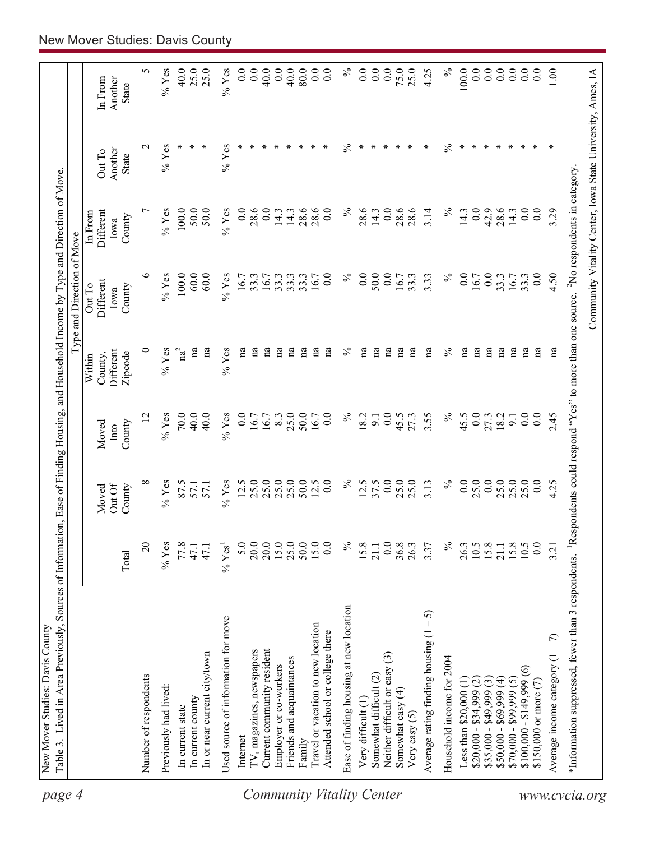| page 4                    |                                                                                                                                                                   |                      |                           |                         |                                | Type and Direction of Move                                 |                                        |                                   |                                    |
|---------------------------|-------------------------------------------------------------------------------------------------------------------------------------------------------------------|----------------------|---------------------------|-------------------------|--------------------------------|------------------------------------------------------------|----------------------------------------|-----------------------------------|------------------------------------|
|                           |                                                                                                                                                                   | Total                | Out Of<br>Moved<br>County | County<br>Moved<br>Into | Different<br>County,<br>Within | Different<br>Out To<br>County<br>Iowa                      | Different<br>In From<br>County<br>Iowa | Another<br>Out To<br><b>State</b> | In From<br>Another<br><b>State</b> |
|                           |                                                                                                                                                                   |                      |                           |                         | Zipcode                        |                                                            |                                        |                                   |                                    |
|                           | Number of respondents                                                                                                                                             | $\overline{c}$       | ∞                         | $\overline{12}$         | $\circ$                        | ७                                                          | $\overline{ }$                         | $\mathbf{\sim}$                   | 5                                  |
|                           | Previously had lived:                                                                                                                                             | $%$ Yes              | $%$ Yes                   | $%$ Yes                 | $%$ Yes                        | $%$ Yes                                                    | $%$ Yes                                | $%$ Yes                           | $\%$ Yes                           |
|                           | In current state                                                                                                                                                  | 77.8                 | 87.5                      | 70.0                    | $\mathrm{na}^2$                | 100.0                                                      | $100.0$                                |                                   | 40.0                               |
|                           | In current county                                                                                                                                                 | 47.1                 | 57.1                      | 40.0                    | $\mathbf{a}$                   | 60.0                                                       | 50.0                                   | ∗                                 | 25.0                               |
|                           | In or near current city/town                                                                                                                                      | 47.1                 | 57.1                      | 40.0                    | na                             | 60.0                                                       | 50.0                                   |                                   | 25.0                               |
|                           | Used source of information for move                                                                                                                               | $%$ Yes <sup>1</sup> | $%$ Yes                   | $%$ Yes                 | $%$ Yes                        | $%$ Yes                                                    | $%$ Yes                                | $%$ Yes                           | $%$ Yes                            |
|                           | Internet                                                                                                                                                          | 5.0                  |                           | 0.0                     | na                             | 16.7                                                       | 0.0                                    |                                   | 0.0                                |
|                           | TV, magazines, newspapers                                                                                                                                         | 20.0                 | $12.5$<br>$25.0$          | 16.7                    | na                             | 33.3                                                       | 28.6                                   |                                   | 0.0                                |
|                           | Current community resident                                                                                                                                        | 20.0                 | 25.0                      | 16.7                    | na                             | 16.7                                                       | 0.0                                    |                                   | 40.0                               |
|                           | Employer or co-workers                                                                                                                                            | 15.0                 | 25.0                      | 8.3                     | na                             | 33.3                                                       | 14.3                                   |                                   | 0.0                                |
|                           | Friends and acquaintances                                                                                                                                         | 25.0                 | 25.0                      | 25.0                    | na                             | 33.3                                                       | 14.3                                   |                                   | 40.0                               |
|                           | Family                                                                                                                                                            | 50.0                 | 50.0                      | 50.0                    | na                             | 33.3                                                       | 28.6                                   |                                   | $80.0\,$                           |
|                           | Travel or vacation to new location                                                                                                                                | 15.0                 | 12.5                      | 16.7                    | na                             | 16.7                                                       | 28.6                                   |                                   | 0.0                                |
|                           | Attended school or college there                                                                                                                                  | $\overline{0.0}$     | 0.0                       | 0.0                     | na                             | 0.0                                                        | 0.0                                    |                                   | $\overline{0.0}$                   |
| Community Vitality Center | Ease of finding housing at new location                                                                                                                           | $\%$                 | $\%$                      | $\%$                    | $\%$                           | $\%$                                                       | $\%$                                   | $\%$                              | $\%$                               |
|                           | Very difficult (1)                                                                                                                                                | 15.8                 | 12.5                      | 18.2                    | na                             | 0.0                                                        | 28.6                                   | ∗                                 | $\overline{0}$ .                   |
|                           | Somewhat difficult (2)                                                                                                                                            | 21.1                 | 37.5                      | 9.1                     | na                             | 50.0                                                       | 14.3                                   | ∗                                 | 0.0                                |
|                           | Neither difficult or easy (3)                                                                                                                                     | 0.0                  | 0.0                       | 0.0                     | na                             | 0.0                                                        | $\overline{0.0}$                       |                                   | 0.0                                |
|                           | Somewhat easy (4)                                                                                                                                                 | 36.8                 | 25.0                      | 45.5                    | na                             | 16.7                                                       | 28.6                                   |                                   | 75.0                               |
|                           | Very easy $(5)$                                                                                                                                                   | 26.3                 | 25.0                      | 27.3                    | $\mathbf{a}$                   | 33.3                                                       | 28.6                                   |                                   | 25.0                               |
|                           | 5<br>Average rating finding housing (1                                                                                                                            | 3.37                 | 3.13                      | 3.55                    | na                             | 3.33                                                       | 3.14                                   | ∗                                 | 4.25                               |
|                           | Household income for 2004                                                                                                                                         | $\%$                 | $\%$                      | $\%$                    | $\frac{5}{6}$                  | $\%$                                                       | $\%$                                   | $\%$                              | $\%$                               |
|                           | Less than $$20,000$ $(1)$                                                                                                                                         | 26.3                 | 0.0                       | 45.5                    | na                             | 0.0                                                        | 14.3                                   | ∗                                 | 100.0                              |
|                           | $$20,000 - $34,999$ (2)                                                                                                                                           | 10.5                 | 25.0                      | 0.0                     | na                             | 16.7                                                       | 0.0                                    |                                   | $\overline{0.0}$                   |
|                           | $$35,000 - $49,999(3)$                                                                                                                                            | 15.8                 | 0.0                       | 27.3                    | na                             | 0.0                                                        | 42.9                                   |                                   | 0.0                                |
|                           | $$50,000 - $69,999 (4)$                                                                                                                                           | 21.1                 | 25.0                      | 18.2                    | na                             | 33.3                                                       | 28.6                                   |                                   | 0.0                                |
|                           | $$70,000 - $99,999 (5)$                                                                                                                                           | 15.8                 | 25.0                      | 9.1                     | na                             | 16.7                                                       | 14.3                                   |                                   | 0.0                                |
|                           | $\widehat{\circ}$<br>$$100,000 - $149,999$                                                                                                                        | 10.5                 | 25.0                      | 0.0                     | na                             | 33.3                                                       | 0.0                                    |                                   | 0.0                                |
|                           | \$150,000 or more (7)                                                                                                                                             | 0.0                  | 0.0                       | 0.0                     | na                             | 0.0                                                        | 0.0                                    |                                   | $\overline{0}$ .                   |
|                           | Average income category $(1 - 7)$                                                                                                                                 | 3.21                 | 4.25                      | 2.45                    | na                             | 4.50                                                       | 3.29                                   | ∗                                 | 0.1                                |
| www.cvcia.org             | *Information suppressed, fewer than 3 respondents. <sup>1</sup> Respondents could respond "Yes" to more than one source. <sup>2</sup> No respondents in category. |                      |                           |                         |                                |                                                            |                                        |                                   |                                    |
|                           |                                                                                                                                                                   |                      |                           |                         |                                | Community Vitality Center, Iowa State University, Ames, IA |                                        |                                   |                                    |
|                           |                                                                                                                                                                   |                      |                           |                         |                                |                                                            |                                        |                                   |                                    |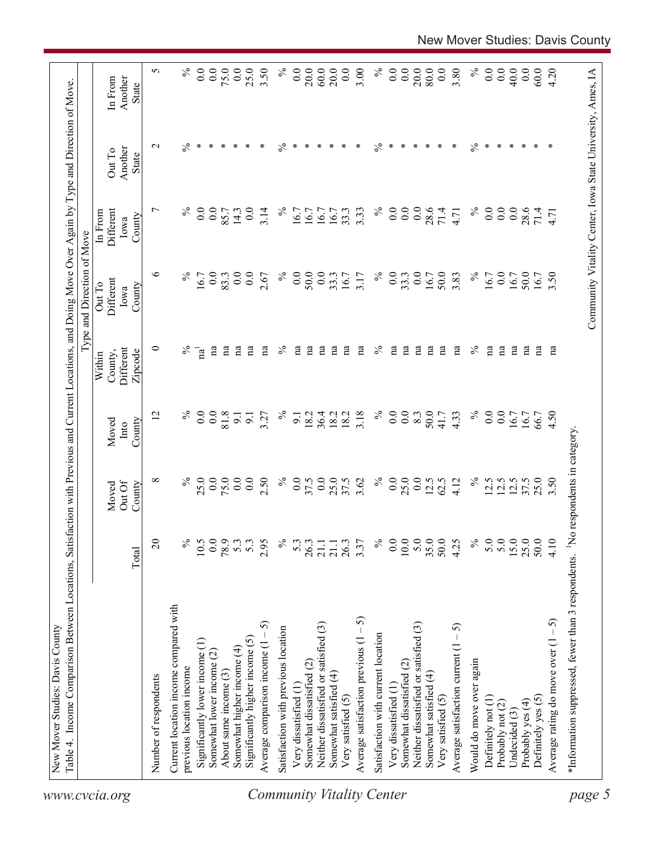| $\%$<br>$\%$<br>0.0<br>$\%$<br>$\circ$<br>$\%$<br>0.0<br>50.0<br>0.0<br>33.3<br>0.0<br>0.0<br>$\overline{0.0}$<br>0.0<br>33.3<br>50.0<br>3.83<br>0.0<br>2.67<br>16.7<br>3.17<br>16.7<br>16.7<br>83.3<br>16.7<br>Different<br>Out To<br>County<br>Iowa<br>$\circ$<br>$\%$<br>$\mathbf{a}$<br>$\mathbf{a}$<br>$\%$<br>na<br>$\mathbf{a}$<br>na<br>na<br>$\%$<br>na<br>$\mathbf{a}$<br>$\mathbf{a}$<br>na<br>$\mathbf{a}$<br>$\%$<br>na<br>na<br>$\overline{\text{na}}^1$<br>na<br>na<br>na<br>na<br>пa<br>пa<br>Different<br>County,<br>Zipcode<br>Within<br>$\%$<br>$\%$<br>0.0<br>$\%$<br>$\%$<br>$\overline{0.0}$<br>$\overline{0.0}$<br>0.0<br>81.8<br>36.4<br>3.18<br>0.0<br>50.0<br>0.0<br>12<br>18.2<br>18.2<br>18.2<br>8.3<br>4.33<br>3.27<br>41.7<br>9.1<br>$\overline{9}$ .<br>$\overline{9}$ .<br>County<br>Moved<br>Into<br>$\%$<br>$\%$<br>0.0<br>$\%$<br>$\infty$<br>$\%$<br>25.0<br>0.0<br>0.0<br>2.50<br>0.0<br>0.0<br>25.0<br>3.62<br>25.0<br>$\overline{0.0}$<br>75.0<br>0.0<br>37.5<br>37.5<br>12.5<br>62.5<br>4.12<br>12.5<br>12.5<br>Out Of<br>County<br>Moved<br>$\%$<br>5.0<br>0.0<br>$10.0\,$<br>5.0<br>35.0<br>50.0<br>5.0<br>$\Omega$<br>$\%$<br>10.5<br>78.9<br>$\%$<br>$\%$<br>0.0<br>4.25<br>5.3<br>5.3<br>2.95<br>53<br>26.3<br>26.3<br>3.37<br>21.1<br>21.1<br>Total<br>Current location income compared with<br>Average satisfaction previous $(1 - 5)$<br>ဂ<br>Neither dissatisfied or satisfied (3)<br>Neither dissatisfied or satisfied (3)<br>Average satisfaction current $(1 - 5)$<br>Satisfaction with previous location<br>Average comparison income $(1 -$<br>Satisfaction with current location<br>Significantly higher income $(5)$<br>Significantly lower income (1)<br>Somewhat higher income (4)<br>Somewhat lower income (2)<br>Would do move over again<br>Somewhat dissatisfied (2)<br>Somewhat dissatisfied (2)<br>previous location income<br>About same income (3)<br>Somewhat satisfied (4)<br>Somewhat satisfied (4)<br>Number of respondents<br>Very dissatisfied (1)<br>Very dissatisfied (1)<br>Very satisfied (5)<br>Very satisfied (5)<br>Definitely not (1)<br>Probably not (2) | Different<br>In From |                   |                    |
|-------------------------------------------------------------------------------------------------------------------------------------------------------------------------------------------------------------------------------------------------------------------------------------------------------------------------------------------------------------------------------------------------------------------------------------------------------------------------------------------------------------------------------------------------------------------------------------------------------------------------------------------------------------------------------------------------------------------------------------------------------------------------------------------------------------------------------------------------------------------------------------------------------------------------------------------------------------------------------------------------------------------------------------------------------------------------------------------------------------------------------------------------------------------------------------------------------------------------------------------------------------------------------------------------------------------------------------------------------------------------------------------------------------------------------------------------------------------------------------------------------------------------------------------------------------------------------------------------------------------------------------------------------------------------------------------------------------------------------------------------------------------------------------------------------------------------------------------------------------------------------------------------------------------------------------------------------------------------------------------------------------------------------------------------------------------------------------------------------------------------------------------|----------------------|-------------------|--------------------|
|                                                                                                                                                                                                                                                                                                                                                                                                                                                                                                                                                                                                                                                                                                                                                                                                                                                                                                                                                                                                                                                                                                                                                                                                                                                                                                                                                                                                                                                                                                                                                                                                                                                                                                                                                                                                                                                                                                                                                                                                                                                                                                                                           |                      |                   |                    |
|                                                                                                                                                                                                                                                                                                                                                                                                                                                                                                                                                                                                                                                                                                                                                                                                                                                                                                                                                                                                                                                                                                                                                                                                                                                                                                                                                                                                                                                                                                                                                                                                                                                                                                                                                                                                                                                                                                                                                                                                                                                                                                                                           | Iowa                 | Another<br>Out To | Another<br>In From |
|                                                                                                                                                                                                                                                                                                                                                                                                                                                                                                                                                                                                                                                                                                                                                                                                                                                                                                                                                                                                                                                                                                                                                                                                                                                                                                                                                                                                                                                                                                                                                                                                                                                                                                                                                                                                                                                                                                                                                                                                                                                                                                                                           | County               | State             | <b>State</b>       |
|                                                                                                                                                                                                                                                                                                                                                                                                                                                                                                                                                                                                                                                                                                                                                                                                                                                                                                                                                                                                                                                                                                                                                                                                                                                                                                                                                                                                                                                                                                                                                                                                                                                                                                                                                                                                                                                                                                                                                                                                                                                                                                                                           | $\overline{ }$       | $\sim$            | 5                  |
|                                                                                                                                                                                                                                                                                                                                                                                                                                                                                                                                                                                                                                                                                                                                                                                                                                                                                                                                                                                                                                                                                                                                                                                                                                                                                                                                                                                                                                                                                                                                                                                                                                                                                                                                                                                                                                                                                                                                                                                                                                                                                                                                           |                      |                   |                    |
|                                                                                                                                                                                                                                                                                                                                                                                                                                                                                                                                                                                                                                                                                                                                                                                                                                                                                                                                                                                                                                                                                                                                                                                                                                                                                                                                                                                                                                                                                                                                                                                                                                                                                                                                                                                                                                                                                                                                                                                                                                                                                                                                           | $\%$                 | $\%$              | $\%$               |
|                                                                                                                                                                                                                                                                                                                                                                                                                                                                                                                                                                                                                                                                                                                                                                                                                                                                                                                                                                                                                                                                                                                                                                                                                                                                                                                                                                                                                                                                                                                                                                                                                                                                                                                                                                                                                                                                                                                                                                                                                                                                                                                                           | 0.0                  | ∗                 | 0.0                |
|                                                                                                                                                                                                                                                                                                                                                                                                                                                                                                                                                                                                                                                                                                                                                                                                                                                                                                                                                                                                                                                                                                                                                                                                                                                                                                                                                                                                                                                                                                                                                                                                                                                                                                                                                                                                                                                                                                                                                                                                                                                                                                                                           | 0.0                  | ∗                 | 0.0                |
|                                                                                                                                                                                                                                                                                                                                                                                                                                                                                                                                                                                                                                                                                                                                                                                                                                                                                                                                                                                                                                                                                                                                                                                                                                                                                                                                                                                                                                                                                                                                                                                                                                                                                                                                                                                                                                                                                                                                                                                                                                                                                                                                           | 85.7                 | ∗                 | 75.0               |
|                                                                                                                                                                                                                                                                                                                                                                                                                                                                                                                                                                                                                                                                                                                                                                                                                                                                                                                                                                                                                                                                                                                                                                                                                                                                                                                                                                                                                                                                                                                                                                                                                                                                                                                                                                                                                                                                                                                                                                                                                                                                                                                                           | 14.3                 |                   | 0.0                |
|                                                                                                                                                                                                                                                                                                                                                                                                                                                                                                                                                                                                                                                                                                                                                                                                                                                                                                                                                                                                                                                                                                                                                                                                                                                                                                                                                                                                                                                                                                                                                                                                                                                                                                                                                                                                                                                                                                                                                                                                                                                                                                                                           | 0.0                  | ∗                 | 25.0               |
|                                                                                                                                                                                                                                                                                                                                                                                                                                                                                                                                                                                                                                                                                                                                                                                                                                                                                                                                                                                                                                                                                                                                                                                                                                                                                                                                                                                                                                                                                                                                                                                                                                                                                                                                                                                                                                                                                                                                                                                                                                                                                                                                           | 3.14                 | ∗                 | 3.50               |
|                                                                                                                                                                                                                                                                                                                                                                                                                                                                                                                                                                                                                                                                                                                                                                                                                                                                                                                                                                                                                                                                                                                                                                                                                                                                                                                                                                                                                                                                                                                                                                                                                                                                                                                                                                                                                                                                                                                                                                                                                                                                                                                                           | $\%$                 | $\%$              | $\%$               |
|                                                                                                                                                                                                                                                                                                                                                                                                                                                                                                                                                                                                                                                                                                                                                                                                                                                                                                                                                                                                                                                                                                                                                                                                                                                                                                                                                                                                                                                                                                                                                                                                                                                                                                                                                                                                                                                                                                                                                                                                                                                                                                                                           | 6.7                  | ∗                 | 0.0                |
|                                                                                                                                                                                                                                                                                                                                                                                                                                                                                                                                                                                                                                                                                                                                                                                                                                                                                                                                                                                                                                                                                                                                                                                                                                                                                                                                                                                                                                                                                                                                                                                                                                                                                                                                                                                                                                                                                                                                                                                                                                                                                                                                           | 16.7                 | ∗                 | 20.0               |
|                                                                                                                                                                                                                                                                                                                                                                                                                                                                                                                                                                                                                                                                                                                                                                                                                                                                                                                                                                                                                                                                                                                                                                                                                                                                                                                                                                                                                                                                                                                                                                                                                                                                                                                                                                                                                                                                                                                                                                                                                                                                                                                                           | 16.7                 | ∗                 | 60.0               |
|                                                                                                                                                                                                                                                                                                                                                                                                                                                                                                                                                                                                                                                                                                                                                                                                                                                                                                                                                                                                                                                                                                                                                                                                                                                                                                                                                                                                                                                                                                                                                                                                                                                                                                                                                                                                                                                                                                                                                                                                                                                                                                                                           | 16.7                 | ∗                 | 20.0               |
|                                                                                                                                                                                                                                                                                                                                                                                                                                                                                                                                                                                                                                                                                                                                                                                                                                                                                                                                                                                                                                                                                                                                                                                                                                                                                                                                                                                                                                                                                                                                                                                                                                                                                                                                                                                                                                                                                                                                                                                                                                                                                                                                           | 33.3                 | ∗                 | 0.0                |
|                                                                                                                                                                                                                                                                                                                                                                                                                                                                                                                                                                                                                                                                                                                                                                                                                                                                                                                                                                                                                                                                                                                                                                                                                                                                                                                                                                                                                                                                                                                                                                                                                                                                                                                                                                                                                                                                                                                                                                                                                                                                                                                                           | 3.33                 | ∗                 | 3.00               |
|                                                                                                                                                                                                                                                                                                                                                                                                                                                                                                                                                                                                                                                                                                                                                                                                                                                                                                                                                                                                                                                                                                                                                                                                                                                                                                                                                                                                                                                                                                                                                                                                                                                                                                                                                                                                                                                                                                                                                                                                                                                                                                                                           | $\%$                 | $\%$              | $\%$               |
|                                                                                                                                                                                                                                                                                                                                                                                                                                                                                                                                                                                                                                                                                                                                                                                                                                                                                                                                                                                                                                                                                                                                                                                                                                                                                                                                                                                                                                                                                                                                                                                                                                                                                                                                                                                                                                                                                                                                                                                                                                                                                                                                           | 0.0                  | ∗                 | 0.0                |
|                                                                                                                                                                                                                                                                                                                                                                                                                                                                                                                                                                                                                                                                                                                                                                                                                                                                                                                                                                                                                                                                                                                                                                                                                                                                                                                                                                                                                                                                                                                                                                                                                                                                                                                                                                                                                                                                                                                                                                                                                                                                                                                                           | 0.0                  | ∗                 | 0.0                |
|                                                                                                                                                                                                                                                                                                                                                                                                                                                                                                                                                                                                                                                                                                                                                                                                                                                                                                                                                                                                                                                                                                                                                                                                                                                                                                                                                                                                                                                                                                                                                                                                                                                                                                                                                                                                                                                                                                                                                                                                                                                                                                                                           | 0.0                  | ∗                 | 20.0               |
|                                                                                                                                                                                                                                                                                                                                                                                                                                                                                                                                                                                                                                                                                                                                                                                                                                                                                                                                                                                                                                                                                                                                                                                                                                                                                                                                                                                                                                                                                                                                                                                                                                                                                                                                                                                                                                                                                                                                                                                                                                                                                                                                           | 28.6                 | ∗                 | 80.0               |
|                                                                                                                                                                                                                                                                                                                                                                                                                                                                                                                                                                                                                                                                                                                                                                                                                                                                                                                                                                                                                                                                                                                                                                                                                                                                                                                                                                                                                                                                                                                                                                                                                                                                                                                                                                                                                                                                                                                                                                                                                                                                                                                                           | 71.4                 |                   | 0.0                |
|                                                                                                                                                                                                                                                                                                                                                                                                                                                                                                                                                                                                                                                                                                                                                                                                                                                                                                                                                                                                                                                                                                                                                                                                                                                                                                                                                                                                                                                                                                                                                                                                                                                                                                                                                                                                                                                                                                                                                                                                                                                                                                                                           | 4.71                 | ∗                 | 3.80               |
|                                                                                                                                                                                                                                                                                                                                                                                                                                                                                                                                                                                                                                                                                                                                                                                                                                                                                                                                                                                                                                                                                                                                                                                                                                                                                                                                                                                                                                                                                                                                                                                                                                                                                                                                                                                                                                                                                                                                                                                                                                                                                                                                           | $\%$                 | $\%$              | $\%$               |
|                                                                                                                                                                                                                                                                                                                                                                                                                                                                                                                                                                                                                                                                                                                                                                                                                                                                                                                                                                                                                                                                                                                                                                                                                                                                                                                                                                                                                                                                                                                                                                                                                                                                                                                                                                                                                                                                                                                                                                                                                                                                                                                                           | 0.0                  | ∗                 | 0.0                |
|                                                                                                                                                                                                                                                                                                                                                                                                                                                                                                                                                                                                                                                                                                                                                                                                                                                                                                                                                                                                                                                                                                                                                                                                                                                                                                                                                                                                                                                                                                                                                                                                                                                                                                                                                                                                                                                                                                                                                                                                                                                                                                                                           | 0.0                  | ∗                 | 0.0                |
| 16.7<br>$\mathbf{a}$<br>16.7<br>12.5<br>15.0<br>Undecided (3)                                                                                                                                                                                                                                                                                                                                                                                                                                                                                                                                                                                                                                                                                                                                                                                                                                                                                                                                                                                                                                                                                                                                                                                                                                                                                                                                                                                                                                                                                                                                                                                                                                                                                                                                                                                                                                                                                                                                                                                                                                                                             | 0.0                  | ∗                 | 40.0               |
| 50.0<br>na<br>16.7<br>37.5<br>25.0<br>Probably yes (4)                                                                                                                                                                                                                                                                                                                                                                                                                                                                                                                                                                                                                                                                                                                                                                                                                                                                                                                                                                                                                                                                                                                                                                                                                                                                                                                                                                                                                                                                                                                                                                                                                                                                                                                                                                                                                                                                                                                                                                                                                                                                                    | 28.6                 |                   | 0.0                |
| 16.7<br>na<br>66.7<br>25.0<br>50.0<br>Definitely yes (5)                                                                                                                                                                                                                                                                                                                                                                                                                                                                                                                                                                                                                                                                                                                                                                                                                                                                                                                                                                                                                                                                                                                                                                                                                                                                                                                                                                                                                                                                                                                                                                                                                                                                                                                                                                                                                                                                                                                                                                                                                                                                                  | 71.4                 | ∗                 | 60.0               |
| 3.50<br>na<br>4.50<br>3.50<br>4.10<br>Average rating do move over $(1 - 5)$                                                                                                                                                                                                                                                                                                                                                                                                                                                                                                                                                                                                                                                                                                                                                                                                                                                                                                                                                                                                                                                                                                                                                                                                                                                                                                                                                                                                                                                                                                                                                                                                                                                                                                                                                                                                                                                                                                                                                                                                                                                               | 4.71                 |                   | 4.20               |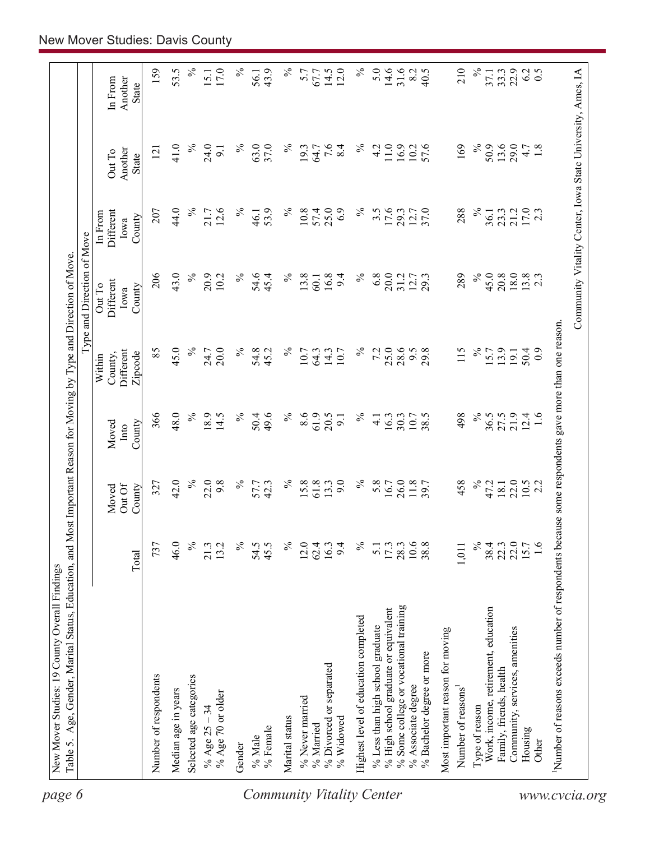| $\%$<br>$\%$<br>$\%$<br>5.0<br>31.6<br>$\%$<br>Community Vitality Center, Iowa State University, Ames, IA<br>159<br>53.5<br>17.0<br>43.9<br>5.7<br>14.5<br>8.2<br>210<br>22.9<br>6.2<br>0.5<br>67.7<br>33.3<br>15.1<br>37.1<br>56.1<br>Another<br>In From<br>State<br>7.6<br>41.0<br>$\%$<br>24.0<br>$\%$<br>63.0<br>$\%$<br>$\%$<br>11.0<br>169<br>$\%$<br>50.9<br>13.6<br>29.0<br>37.0<br>8.4<br>4.2<br>16.9<br>57.6<br>4.7<br>1.8<br>19.3<br>10.2<br>64.7<br>121<br>$\overline{5}$<br>Another<br>Out To<br><b>State</b><br>$\%$<br>44.0<br>12.6<br>$\%$<br>$\%$<br>25.0<br>$\%$<br>17.6<br>$\%$<br>$17.0$<br>2.3<br>53.9<br>10.8<br>57.4<br>6.9<br>$3.\overline{5}$<br>12.7<br>37.0<br>288<br>21.2<br>207<br>21.7<br>29.3<br>23.3<br>36.1<br>Different<br>46.1<br>In From<br>County<br>Iowa<br>43.0<br>$\%$<br>$\%$<br>$\%$<br>$\%$<br>$\%$<br>6.8<br>20.0<br>45.0<br>18.0<br>$13.8$<br>2.3<br>206<br>20.9<br>54.6<br>45.4<br>13.8<br>16.8<br>9.4<br>31.2<br>12.7<br>289<br>20.8<br>10.2<br>29.3<br>60.1<br>Different<br>Out To<br>County<br>Iowa<br>Number of reasons exceeds number of respondents because some respondents gave more than one reason.<br>45.0<br>85<br>$\%$<br>$\%$<br>25.0<br>28.6<br>20.0<br>$\%$<br>54.8<br>$\%$<br>7.2<br>9.5<br>115<br>$\%$<br>13.9<br>24.7<br>10.7<br>14.3<br>29.8<br>15.7<br>50.4<br>45.2<br>64.3<br>10.7<br>Different<br>19.1<br>Zipcode<br>County,<br>Within<br>48.0<br>$\%$<br>$\%$<br>$\lesssim$<br>18.9<br>$\%$<br>49.6<br>8.6<br>61.9<br>$\%$<br>498<br>36.5<br>21.9<br>366<br>14.5<br>50.4<br>20.5<br>10.7<br>38.5<br>27.5<br>12.4<br>1.6<br>16.3<br>30.3<br>9.1<br>$\overline{4}$ .<br>County<br>Moved<br>Into<br>42.0<br>$\%$<br>22.0<br>9.8<br>$\%$<br>$\%$<br>9.0<br>$\%$<br>458<br>$\%$<br>22.0<br>57.7<br>42.3<br>15.8<br>61.8<br>13.3<br>5.8<br>26.0<br>11.8<br>47.2<br>$10.5$<br>2.2<br>327<br>16.7<br>18.1<br>Out Of<br>County<br>Moved<br>$\%$<br>737<br>46.0<br>$\%$<br>13.2<br>$\%$<br>54.5<br>45.5<br>$\%$<br>$\%$<br>10.6<br>38.8<br>22.0<br>1.6<br>21.3<br>12.0<br>9.4<br>17.3<br>28.3<br>38.4<br>15.7<br>62.4<br>16.3<br>1,011<br>22.3<br>$\overline{5}$ .<br>Total<br>% Some college or vocational training<br>% High school graduate or equivalent<br>Work, income, retirement, education<br>Highest level of education completed<br>% Less than high school graduate<br>Community, services, amenities<br>Most important reason for moving<br>% Bachelor degree or more<br>% Divorced or separated<br>Family, friends, health<br>Number of respondents<br>Selected age categories<br>% Associate degree<br>Number of reasons <sup>1</sup><br>Median age in years<br>% Age 70 or older<br>% Never married<br>Type of reason<br>% Age $25 - 34$<br>Marital status<br>% Widowed<br>% Married<br>% Female<br>Housing<br>% Male<br>Other<br>Gender | page 6 |  |  | Type and Direction of Move |  |      |
|----------------------------------------------------------------------------------------------------------------------------------------------------------------------------------------------------------------------------------------------------------------------------------------------------------------------------------------------------------------------------------------------------------------------------------------------------------------------------------------------------------------------------------------------------------------------------------------------------------------------------------------------------------------------------------------------------------------------------------------------------------------------------------------------------------------------------------------------------------------------------------------------------------------------------------------------------------------------------------------------------------------------------------------------------------------------------------------------------------------------------------------------------------------------------------------------------------------------------------------------------------------------------------------------------------------------------------------------------------------------------------------------------------------------------------------------------------------------------------------------------------------------------------------------------------------------------------------------------------------------------------------------------------------------------------------------------------------------------------------------------------------------------------------------------------------------------------------------------------------------------------------------------------------------------------------------------------------------------------------------------------------------------------------------------------------------------------------------------------------------------------------------------------------------------------------------------------------------------------------------------------------------------------------------------------------------------------------------------------------------------------------------------------------------------------------------------------------------------------------------------------------------------------------------------------------------------------------------------------------------------------------------------------------------------------------------------------------------------------------------------------------------------------------------------------------------|--------|--|--|----------------------------|--|------|
|                                                                                                                                                                                                                                                                                                                                                                                                                                                                                                                                                                                                                                                                                                                                                                                                                                                                                                                                                                                                                                                                                                                                                                                                                                                                                                                                                                                                                                                                                                                                                                                                                                                                                                                                                                                                                                                                                                                                                                                                                                                                                                                                                                                                                                                                                                                                                                                                                                                                                                                                                                                                                                                                                                                                                                                                                      |        |  |  |                            |  |      |
|                                                                                                                                                                                                                                                                                                                                                                                                                                                                                                                                                                                                                                                                                                                                                                                                                                                                                                                                                                                                                                                                                                                                                                                                                                                                                                                                                                                                                                                                                                                                                                                                                                                                                                                                                                                                                                                                                                                                                                                                                                                                                                                                                                                                                                                                                                                                                                                                                                                                                                                                                                                                                                                                                                                                                                                                                      |        |  |  |                            |  |      |
|                                                                                                                                                                                                                                                                                                                                                                                                                                                                                                                                                                                                                                                                                                                                                                                                                                                                                                                                                                                                                                                                                                                                                                                                                                                                                                                                                                                                                                                                                                                                                                                                                                                                                                                                                                                                                                                                                                                                                                                                                                                                                                                                                                                                                                                                                                                                                                                                                                                                                                                                                                                                                                                                                                                                                                                                                      |        |  |  |                            |  |      |
|                                                                                                                                                                                                                                                                                                                                                                                                                                                                                                                                                                                                                                                                                                                                                                                                                                                                                                                                                                                                                                                                                                                                                                                                                                                                                                                                                                                                                                                                                                                                                                                                                                                                                                                                                                                                                                                                                                                                                                                                                                                                                                                                                                                                                                                                                                                                                                                                                                                                                                                                                                                                                                                                                                                                                                                                                      |        |  |  |                            |  |      |
| Community Vitality Center<br>www.cvcia.org                                                                                                                                                                                                                                                                                                                                                                                                                                                                                                                                                                                                                                                                                                                                                                                                                                                                                                                                                                                                                                                                                                                                                                                                                                                                                                                                                                                                                                                                                                                                                                                                                                                                                                                                                                                                                                                                                                                                                                                                                                                                                                                                                                                                                                                                                                                                                                                                                                                                                                                                                                                                                                                                                                                                                                           |        |  |  |                            |  |      |
|                                                                                                                                                                                                                                                                                                                                                                                                                                                                                                                                                                                                                                                                                                                                                                                                                                                                                                                                                                                                                                                                                                                                                                                                                                                                                                                                                                                                                                                                                                                                                                                                                                                                                                                                                                                                                                                                                                                                                                                                                                                                                                                                                                                                                                                                                                                                                                                                                                                                                                                                                                                                                                                                                                                                                                                                                      |        |  |  |                            |  |      |
|                                                                                                                                                                                                                                                                                                                                                                                                                                                                                                                                                                                                                                                                                                                                                                                                                                                                                                                                                                                                                                                                                                                                                                                                                                                                                                                                                                                                                                                                                                                                                                                                                                                                                                                                                                                                                                                                                                                                                                                                                                                                                                                                                                                                                                                                                                                                                                                                                                                                                                                                                                                                                                                                                                                                                                                                                      |        |  |  |                            |  |      |
|                                                                                                                                                                                                                                                                                                                                                                                                                                                                                                                                                                                                                                                                                                                                                                                                                                                                                                                                                                                                                                                                                                                                                                                                                                                                                                                                                                                                                                                                                                                                                                                                                                                                                                                                                                                                                                                                                                                                                                                                                                                                                                                                                                                                                                                                                                                                                                                                                                                                                                                                                                                                                                                                                                                                                                                                                      |        |  |  |                            |  |      |
|                                                                                                                                                                                                                                                                                                                                                                                                                                                                                                                                                                                                                                                                                                                                                                                                                                                                                                                                                                                                                                                                                                                                                                                                                                                                                                                                                                                                                                                                                                                                                                                                                                                                                                                                                                                                                                                                                                                                                                                                                                                                                                                                                                                                                                                                                                                                                                                                                                                                                                                                                                                                                                                                                                                                                                                                                      |        |  |  |                            |  |      |
|                                                                                                                                                                                                                                                                                                                                                                                                                                                                                                                                                                                                                                                                                                                                                                                                                                                                                                                                                                                                                                                                                                                                                                                                                                                                                                                                                                                                                                                                                                                                                                                                                                                                                                                                                                                                                                                                                                                                                                                                                                                                                                                                                                                                                                                                                                                                                                                                                                                                                                                                                                                                                                                                                                                                                                                                                      |        |  |  |                            |  |      |
|                                                                                                                                                                                                                                                                                                                                                                                                                                                                                                                                                                                                                                                                                                                                                                                                                                                                                                                                                                                                                                                                                                                                                                                                                                                                                                                                                                                                                                                                                                                                                                                                                                                                                                                                                                                                                                                                                                                                                                                                                                                                                                                                                                                                                                                                                                                                                                                                                                                                                                                                                                                                                                                                                                                                                                                                                      |        |  |  |                            |  | 12.0 |
|                                                                                                                                                                                                                                                                                                                                                                                                                                                                                                                                                                                                                                                                                                                                                                                                                                                                                                                                                                                                                                                                                                                                                                                                                                                                                                                                                                                                                                                                                                                                                                                                                                                                                                                                                                                                                                                                                                                                                                                                                                                                                                                                                                                                                                                                                                                                                                                                                                                                                                                                                                                                                                                                                                                                                                                                                      |        |  |  |                            |  | $\%$ |
|                                                                                                                                                                                                                                                                                                                                                                                                                                                                                                                                                                                                                                                                                                                                                                                                                                                                                                                                                                                                                                                                                                                                                                                                                                                                                                                                                                                                                                                                                                                                                                                                                                                                                                                                                                                                                                                                                                                                                                                                                                                                                                                                                                                                                                                                                                                                                                                                                                                                                                                                                                                                                                                                                                                                                                                                                      |        |  |  |                            |  |      |
|                                                                                                                                                                                                                                                                                                                                                                                                                                                                                                                                                                                                                                                                                                                                                                                                                                                                                                                                                                                                                                                                                                                                                                                                                                                                                                                                                                                                                                                                                                                                                                                                                                                                                                                                                                                                                                                                                                                                                                                                                                                                                                                                                                                                                                                                                                                                                                                                                                                                                                                                                                                                                                                                                                                                                                                                                      |        |  |  |                            |  | 14.6 |
|                                                                                                                                                                                                                                                                                                                                                                                                                                                                                                                                                                                                                                                                                                                                                                                                                                                                                                                                                                                                                                                                                                                                                                                                                                                                                                                                                                                                                                                                                                                                                                                                                                                                                                                                                                                                                                                                                                                                                                                                                                                                                                                                                                                                                                                                                                                                                                                                                                                                                                                                                                                                                                                                                                                                                                                                                      |        |  |  |                            |  |      |
|                                                                                                                                                                                                                                                                                                                                                                                                                                                                                                                                                                                                                                                                                                                                                                                                                                                                                                                                                                                                                                                                                                                                                                                                                                                                                                                                                                                                                                                                                                                                                                                                                                                                                                                                                                                                                                                                                                                                                                                                                                                                                                                                                                                                                                                                                                                                                                                                                                                                                                                                                                                                                                                                                                                                                                                                                      |        |  |  |                            |  | 40.5 |
|                                                                                                                                                                                                                                                                                                                                                                                                                                                                                                                                                                                                                                                                                                                                                                                                                                                                                                                                                                                                                                                                                                                                                                                                                                                                                                                                                                                                                                                                                                                                                                                                                                                                                                                                                                                                                                                                                                                                                                                                                                                                                                                                                                                                                                                                                                                                                                                                                                                                                                                                                                                                                                                                                                                                                                                                                      |        |  |  |                            |  |      |
|                                                                                                                                                                                                                                                                                                                                                                                                                                                                                                                                                                                                                                                                                                                                                                                                                                                                                                                                                                                                                                                                                                                                                                                                                                                                                                                                                                                                                                                                                                                                                                                                                                                                                                                                                                                                                                                                                                                                                                                                                                                                                                                                                                                                                                                                                                                                                                                                                                                                                                                                                                                                                                                                                                                                                                                                                      |        |  |  |                            |  |      |
|                                                                                                                                                                                                                                                                                                                                                                                                                                                                                                                                                                                                                                                                                                                                                                                                                                                                                                                                                                                                                                                                                                                                                                                                                                                                                                                                                                                                                                                                                                                                                                                                                                                                                                                                                                                                                                                                                                                                                                                                                                                                                                                                                                                                                                                                                                                                                                                                                                                                                                                                                                                                                                                                                                                                                                                                                      |        |  |  |                            |  |      |
|                                                                                                                                                                                                                                                                                                                                                                                                                                                                                                                                                                                                                                                                                                                                                                                                                                                                                                                                                                                                                                                                                                                                                                                                                                                                                                                                                                                                                                                                                                                                                                                                                                                                                                                                                                                                                                                                                                                                                                                                                                                                                                                                                                                                                                                                                                                                                                                                                                                                                                                                                                                                                                                                                                                                                                                                                      |        |  |  |                            |  |      |
|                                                                                                                                                                                                                                                                                                                                                                                                                                                                                                                                                                                                                                                                                                                                                                                                                                                                                                                                                                                                                                                                                                                                                                                                                                                                                                                                                                                                                                                                                                                                                                                                                                                                                                                                                                                                                                                                                                                                                                                                                                                                                                                                                                                                                                                                                                                                                                                                                                                                                                                                                                                                                                                                                                                                                                                                                      |        |  |  |                            |  |      |
|                                                                                                                                                                                                                                                                                                                                                                                                                                                                                                                                                                                                                                                                                                                                                                                                                                                                                                                                                                                                                                                                                                                                                                                                                                                                                                                                                                                                                                                                                                                                                                                                                                                                                                                                                                                                                                                                                                                                                                                                                                                                                                                                                                                                                                                                                                                                                                                                                                                                                                                                                                                                                                                                                                                                                                                                                      |        |  |  |                            |  |      |
|                                                                                                                                                                                                                                                                                                                                                                                                                                                                                                                                                                                                                                                                                                                                                                                                                                                                                                                                                                                                                                                                                                                                                                                                                                                                                                                                                                                                                                                                                                                                                                                                                                                                                                                                                                                                                                                                                                                                                                                                                                                                                                                                                                                                                                                                                                                                                                                                                                                                                                                                                                                                                                                                                                                                                                                                                      |        |  |  |                            |  |      |
|                                                                                                                                                                                                                                                                                                                                                                                                                                                                                                                                                                                                                                                                                                                                                                                                                                                                                                                                                                                                                                                                                                                                                                                                                                                                                                                                                                                                                                                                                                                                                                                                                                                                                                                                                                                                                                                                                                                                                                                                                                                                                                                                                                                                                                                                                                                                                                                                                                                                                                                                                                                                                                                                                                                                                                                                                      |        |  |  |                            |  |      |
|                                                                                                                                                                                                                                                                                                                                                                                                                                                                                                                                                                                                                                                                                                                                                                                                                                                                                                                                                                                                                                                                                                                                                                                                                                                                                                                                                                                                                                                                                                                                                                                                                                                                                                                                                                                                                                                                                                                                                                                                                                                                                                                                                                                                                                                                                                                                                                                                                                                                                                                                                                                                                                                                                                                                                                                                                      |        |  |  |                            |  |      |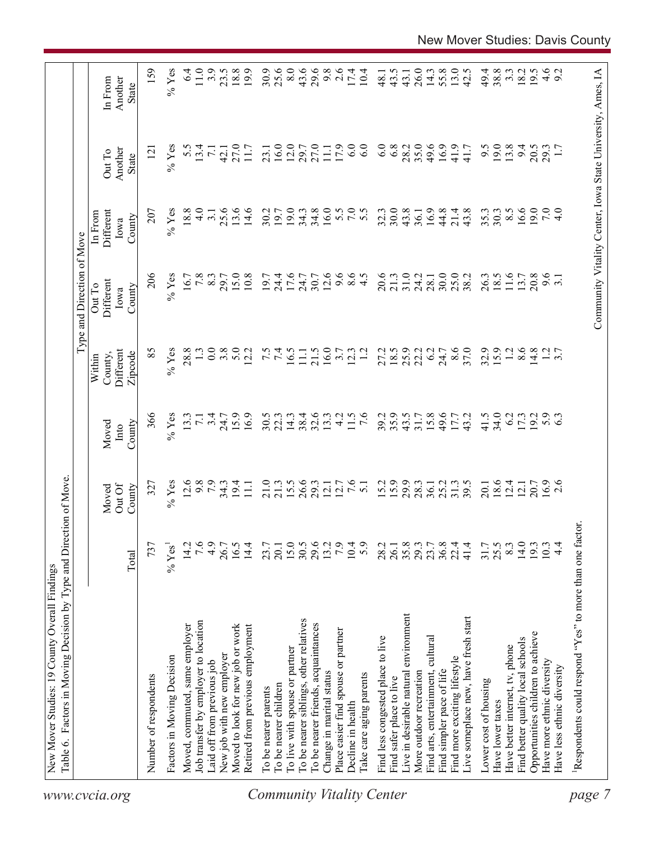| 19.0<br>34.8<br>16.0<br>30.0<br>16.6<br>13.6<br>14.6<br>30.2<br>19.0<br>34.3<br>32.3<br>43.8<br>16.9<br>44.8<br>43.8<br>35.3<br>19.7<br>21.4<br>30.3<br>36.1<br>9.6<br>12.6<br>$8.5$<br>4.5<br>20.6<br>31.0<br>25.0<br>26.3<br>11.6<br>20.8<br>15.0<br>10.8<br>19.7<br>17.6<br>9.6<br>21.3<br>24.2<br>18.5<br>13.7<br>24.4<br>24.7<br>30.7<br>30.0<br>38.2<br>3.1<br>28.1<br>16.0<br>8.6<br>32.9<br>15.9<br>8.6<br>5.0<br>7.4<br>21.5<br>18.5<br>25.9<br>37.0<br>$\overline{12}$<br>14.8<br>$1.2$<br>3.7<br>12.2<br>16.5<br>$\overline{12}$<br>22.2<br>6.2<br>11.1<br>3.7<br>12.3<br>27.2<br>24.7<br>35.9<br>41.5<br>34.0<br>15.9<br>16.9<br>30.5<br>38.4<br>$32.6$<br>13.3<br>4.2<br>11.5<br>$\overline{7.6}$<br>39.2<br>43.5<br>15.8<br>49.6<br>43.2<br>6.2<br>19.2<br>5.3<br>22.3<br>14.3<br>17.3<br>31.7<br>17.7<br>$15.5$<br>26.6<br>29.3<br>7.6<br>15.2<br>29.9<br>$18.6$<br>12.4<br>$16.9$<br>2.6<br>$34.3$<br>19.4<br>11.1<br>21.0<br>$12.1$<br>$12.7$<br>25.2<br>31.3<br>39.5<br>20.7<br>21.3<br>5.1<br>28.3<br>36.1<br>20.1<br>12.1<br>15.0<br>29.6<br>7.9<br>14.0<br>16.5<br>14.4<br>30.5<br>10.4<br>5.9<br>35.8<br>36.8<br>41.4<br>25.5<br>8.3<br>19.3<br>$4\cdot$<br>23.7<br>13.2<br>28.2<br>26.1<br>29.3<br>23.7<br>22.4<br>31.7<br>10.3<br>20.1<br>Live in desirable natural environment<br>Live someplace new, have fresh start<br>To be nearer siblings, other relatives<br>To be nearer friends, acquaintances<br>Moved to look for new job or work<br>Retired from previous employment<br>Place easier find spouse or partner<br>Opportunities children to achieve<br>Find less congested place to live<br>Find arts, entertainment, cultural<br>Find better quality local schools<br>Have better internet, tv, phone<br>To live with spouse or partner<br>Find more exciting lifestyle<br>Have more ethnic diversity<br>Have less ethnic diversity<br>More outdoor recreation<br>Find simpler pace of life<br>Change in marital status<br>Take care aging parents<br>Find safer place to live<br>Lower cost of housing<br>To be nearer children<br>To be nearer parents<br>Have lower taxes<br>Decline in health |
|--------------------------------------------------------------------------------------------------------------------------------------------------------------------------------------------------------------------------------------------------------------------------------------------------------------------------------------------------------------------------------------------------------------------------------------------------------------------------------------------------------------------------------------------------------------------------------------------------------------------------------------------------------------------------------------------------------------------------------------------------------------------------------------------------------------------------------------------------------------------------------------------------------------------------------------------------------------------------------------------------------------------------------------------------------------------------------------------------------------------------------------------------------------------------------------------------------------------------------------------------------------------------------------------------------------------------------------------------------------------------------------------------------------------------------------------------------------------------------------------------------------------------------------------------------------------------------------------------------------------------------------------------------------------------------------------------------------------------------------------------------------------------------------------------------------------------------------------------------------------------------------------------------------------------------------------------------------------------------------------------------------------------------------------------------------------------------------------------------------------------------------|
|                                                                                                                                                                                                                                                                                                                                                                                                                                                                                                                                                                                                                                                                                                                                                                                                                                                                                                                                                                                                                                                                                                                                                                                                                                                                                                                                                                                                                                                                                                                                                                                                                                                                                                                                                                                                                                                                                                                                                                                                                                                                                                                                      |
|                                                                                                                                                                                                                                                                                                                                                                                                                                                                                                                                                                                                                                                                                                                                                                                                                                                                                                                                                                                                                                                                                                                                                                                                                                                                                                                                                                                                                                                                                                                                                                                                                                                                                                                                                                                                                                                                                                                                                                                                                                                                                                                                      |
|                                                                                                                                                                                                                                                                                                                                                                                                                                                                                                                                                                                                                                                                                                                                                                                                                                                                                                                                                                                                                                                                                                                                                                                                                                                                                                                                                                                                                                                                                                                                                                                                                                                                                                                                                                                                                                                                                                                                                                                                                                                                                                                                      |
|                                                                                                                                                                                                                                                                                                                                                                                                                                                                                                                                                                                                                                                                                                                                                                                                                                                                                                                                                                                                                                                                                                                                                                                                                                                                                                                                                                                                                                                                                                                                                                                                                                                                                                                                                                                                                                                                                                                                                                                                                                                                                                                                      |
|                                                                                                                                                                                                                                                                                                                                                                                                                                                                                                                                                                                                                                                                                                                                                                                                                                                                                                                                                                                                                                                                                                                                                                                                                                                                                                                                                                                                                                                                                                                                                                                                                                                                                                                                                                                                                                                                                                                                                                                                                                                                                                                                      |
|                                                                                                                                                                                                                                                                                                                                                                                                                                                                                                                                                                                                                                                                                                                                                                                                                                                                                                                                                                                                                                                                                                                                                                                                                                                                                                                                                                                                                                                                                                                                                                                                                                                                                                                                                                                                                                                                                                                                                                                                                                                                                                                                      |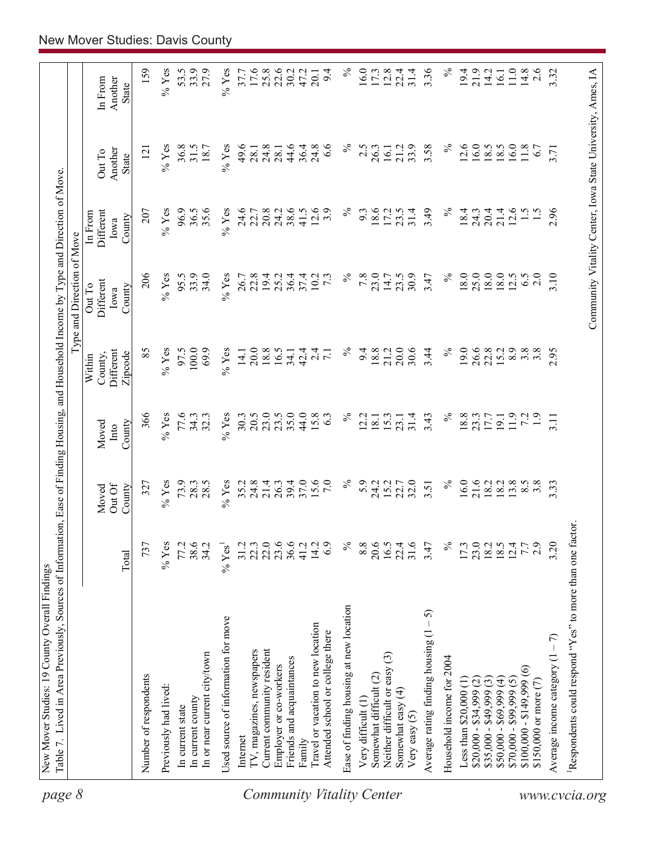| page 8                           |                                                         |                                      |                          |                         |                                | Type and Direction of Move            |                                                            |                            |                                    |
|----------------------------------|---------------------------------------------------------|--------------------------------------|--------------------------|-------------------------|--------------------------------|---------------------------------------|------------------------------------------------------------|----------------------------|------------------------------------|
|                                  |                                                         | Total                                | OutOf<br>County<br>Moved | County<br>Moved<br>Into | Different<br>County,<br>Within | Different<br>Out To<br>County<br>Iowa | Different<br>In From<br>County<br>Iowa                     | Another<br>Out To<br>State | In From<br>Another<br><b>State</b> |
|                                  |                                                         |                                      |                          |                         | Zipcode                        |                                       |                                                            |                            |                                    |
|                                  | Number of respondents                                   | 737                                  | 327                      | 366                     | 85                             | 206                                   | 207                                                        | $\overline{2}$             | 159                                |
|                                  | Previously had lived:                                   | $%$ Yes                              | $\%$ Yes                 | $%$ Yes                 | $\%$ Yes                       | $%$ Yes                               | $%$ Yes                                                    | $\%$ Yes                   | % $Y$ es                           |
|                                  | In current state                                        | 77.2                                 | 73.9                     | 77.6                    | 97.5                           | 95.5                                  | 96.9                                                       | 36.8                       | 53.5                               |
|                                  | In current county                                       | 38.6                                 | 28.3                     | 34.3                    | 100.0                          | 33.9                                  | 36.5                                                       | 31.5                       | 33.9                               |
|                                  | In or near current city/town                            | 34.2                                 | 28.5                     | 32.3                    | 69.9                           | 34.0                                  | 35.6                                                       | 18.7                       | 27.9                               |
|                                  | Used source of information for move                     | $\%$ Yes <sup>1</sup>                | $\%$ Yes                 | $%$ Yes                 | $\%$ Yes                       | $%$ Yes                               | $\%$ Yes                                                   | $%$ Yes                    | $\%$ Yes                           |
|                                  | Internet                                                | 31.2                                 | 35.2                     | 30.3                    | 14.1                           | 26.7                                  | 24.6                                                       | 49.6                       | 37.7                               |
|                                  | TV, magazines, newspapers                               | 22.3                                 | 24.8                     | 20.5                    | 20.0                           | 22.8                                  | 22.7                                                       | 28.1                       | 17.6                               |
|                                  | Current community resident                              | 22.0                                 | 21.4                     | 23.0                    | 18.8                           | 19.4                                  | 20.8                                                       | 24.8                       |                                    |
|                                  | Employer or co-workers                                  | 23.6                                 | 26.3                     | 23.5                    | 16.5                           | 25.2                                  | 24.2                                                       | 28.1                       | $25.8$<br>$22.6$                   |
|                                  | Friends and acquaintances                               | 36.6                                 | 39.4                     | 35.0                    | 34.1                           | 36.4                                  | 38.6                                                       | 44.6                       | 30.2                               |
|                                  | Family                                                  | 41.2                                 | 37.0                     | 44.0                    | 42.4                           | 37.4                                  | 41.5                                                       | 36.4                       | 47.2                               |
|                                  | Travel or vacation to new location                      | 14.2                                 | 15.6                     | 15.8                    | $\overline{a}$                 | 10.2                                  | 12.6                                                       | 24.8                       | 20.1                               |
|                                  | Attended school or college there                        | 6.9                                  | $\overline{7.0}$         | 63                      |                                | $7\cdot3$                             | 3.9                                                        | 6.6                        | 9.4                                |
| <b>Community Vitality Center</b> | Ease of finding housing at new location                 | $\%$                                 | $\%$                     | $\%$                    | $\%$                           | $\%$                                  | $\%$                                                       | న                          | $\%$                               |
|                                  | Very difficult (1)                                      | 8.8                                  | 5.9                      | 12.2                    | 9.4                            | 7.8                                   | 9.3                                                        | 2.5                        | 16.0                               |
|                                  | Somewhat difficult (2)                                  | 20.6                                 | 24.2                     | 18.1                    | 18.8                           | 23.0                                  | 18.6                                                       | 26.3                       | 17.3                               |
|                                  | $\widehat{\mathbb{G}}$<br>Neither difficult or easy     | 16.5                                 | 15.2                     | 15.3                    | 21.2                           | 14.7                                  | 17.2                                                       | 16.1                       | 12.8                               |
|                                  | Somewhat easy (4)<br>Very easy $(5)$                    | 22.4<br>31.6                         | 22.7<br>32.0             | 31.4<br>23.1            | 30.6<br>20.0                   | 30.9<br>23.5                          | 31.4<br>23.5                                               | 33.9<br>21.2               | 22.4<br>31.4                       |
|                                  | $-5$<br>Average rating finding housing (1               | 3.47                                 | 3.51                     | 3.43                    | 3.44                           | 3.47                                  | 3.49                                                       | 3.58                       | 3.36                               |
|                                  | Household income for 2004                               | $\%$                                 | $\%$                     | $\%$                    | $\%$                           | $\%$                                  | $\%$                                                       | $\%$                       | $\%$                               |
|                                  | Less than \$20,000 (1)                                  | 17.3                                 | 16.0                     | 18.8                    | 19.0                           | 18.0                                  | 18.4                                                       | 12.6                       | 19.4                               |
|                                  | $$20,000 - $34,999$ (2)                                 |                                      |                          | 23.3                    |                                | 25.0                                  | 24.3                                                       | 16.0                       | 21.9                               |
|                                  | $$35,000 - $49,999(3)$                                  | $23.0$<br>$18.0$<br>$19.4$<br>$12.4$ | 21.6<br>18.2             | 17.7                    | 26.6<br>22.8                   | 18.0                                  | 20.4                                                       | 18.5                       | 14.2                               |
|                                  | $$50,000 - $69,999 (4)$                                 |                                      | 18.2                     | 19.1                    | 15.2                           | 18.0                                  | 21.4                                                       | 8.5                        | 16.1                               |
|                                  | $$70,000 - $99,999(5)$                                  |                                      | 13.8                     | 11.9                    | 8.9                            | 12.5                                  | 12.6                                                       | 6.0                        | 11.0                               |
|                                  | $\widehat{\circ}$<br>$$100,000 - $149,999$              | 7.7                                  | 8.5                      | 72                      | $3.\overline{8}$               | 6.5                                   | $\frac{1}{5}$                                              | 11.8                       | 14.8                               |
|                                  | \$150,000 or more $(7)$                                 | 2.9                                  | $3.\overline{8}$         | $\overline{1.9}$        | 3.8                            | 2.0                                   |                                                            | 6.7                        | 2.6                                |
|                                  | Average income category $(1 - 7)$                       | 3.20                                 | 3.33                     | 3.11                    | 2.95                           | 3.10                                  | 2.96                                                       | 3.71                       | 3.32                               |
| www.cvcia.org                    | Respondents could respond "Yes" to more than one factor |                                      |                          |                         |                                |                                       |                                                            |                            |                                    |
|                                  |                                                         |                                      |                          |                         |                                |                                       | Community Vitality Center, Iowa State University, Ames, IA |                            |                                    |
|                                  |                                                         |                                      |                          |                         |                                |                                       |                                                            |                            |                                    |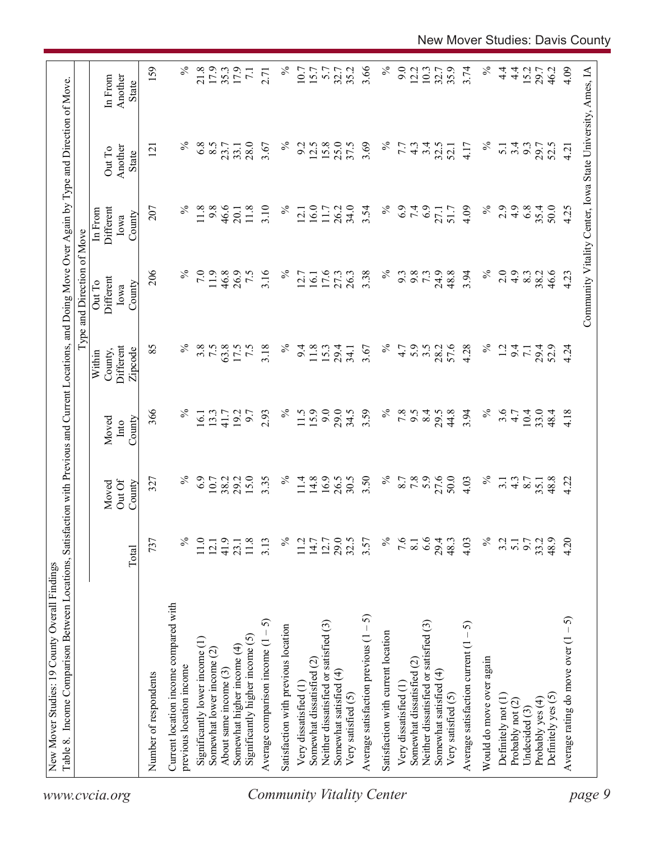|                                                                 |                  |                           |                         |                                           | Type and Direction of Move            |                                                            |                                   |                                    |
|-----------------------------------------------------------------|------------------|---------------------------|-------------------------|-------------------------------------------|---------------------------------------|------------------------------------------------------------|-----------------------------------|------------------------------------|
|                                                                 | Total            | Out Of<br>County<br>Moved | County<br>Moved<br>Into | Different<br>County,<br>Zipcode<br>Within | Different<br>Out To<br>County<br>Iowa | Different<br>In From<br>County<br>Iowa                     | Another<br>Out To<br><b>State</b> | Another<br>In From<br><b>State</b> |
| Number of respondents                                           | 737              | 327                       | 366                     | 85                                        | 206                                   | 207                                                        | $\overline{2}$                    | 159                                |
| Current location income compared with                           |                  |                           |                         |                                           |                                       |                                                            |                                   |                                    |
| previous location income                                        | ℅                | ℅                         | $\%$                    | $\%$                                      |                                       | $\%$                                                       |                                   | $\%$                               |
| Significantly lower income (1)                                  | 11.0             | 6.9                       | 16.1                    | 3.8                                       | 7.0                                   | 11.8                                                       | 6.8                               | 21.8                               |
| Somewhat lower income (2)                                       | 12.1             | 10.7<br>38.2              | 13.3                    | 7.5                                       | 11.9                                  | 9.8                                                        | 8.5                               | 17.9                               |
| About same income (3)                                           | 41.9             |                           | 41.7                    | 63.8                                      | 46.8                                  | 46.6                                                       | 23.7                              | 35.3                               |
| Significantly higher income $(5)$<br>Somewhat higher income (4) | 11.8<br>23.1     | 15.0<br>29.2              | 19.2<br>6.7             | 7.5<br>17.5                               | 26.9<br>7.5                           | 11.8<br>20.1                                               | 28.0<br>33.1                      | 17.9<br>$\overline{71}$            |
| 5<br>Average comparison income $(1 -$                           | 3.13             | 3.35                      | 2.93                    | 3.18                                      | 3.16                                  | 3.10                                                       | 3.67                              | 2.71                               |
|                                                                 |                  | $\%$                      | $\%$                    | $\%$                                      | $\%$                                  | $\%$                                                       | $\%$                              | $\%$                               |
| Satisfaction with previous location                             | ℅                |                           |                         |                                           |                                       |                                                            |                                   |                                    |
| Very dissatisfied (1                                            | 11.2             | 11.4                      | 11.5                    | 9.4                                       | 12.7                                  | 12.1                                                       | 9.2                               | 10.7                               |
| Somewhat dissatisfied (2)                                       | 14.7             | 14.8                      | 15.9                    | 11.8                                      | 16.1                                  | 16.0                                                       | 12.5                              | 15.7                               |
| Neither dissatisfied or satisfied (3)                           | 12.7             | 16.9                      | 9.0                     | 15.3                                      | 17.6                                  | 11.7                                                       | 15.8                              | 5.7                                |
| Somewhat satisfied (4)                                          | 29.5             | 26.5                      | 29.0                    | 29.4                                      | 27.3                                  | 26.2                                                       | 25.0                              | 32.7                               |
| Very satisfied (5)                                              |                  | 30.5                      | 34.5                    | 34.1                                      | 26.3                                  | 34.0                                                       | 37.5                              | 35.2                               |
| Average satisfaction previous $(1 - 5)$                         | 3.57             | 3.50                      | 3.59                    | 3.67                                      | 3.38                                  | 3.54                                                       | 3.69                              | 3.66                               |
| Satisfaction with current location                              | $\%$             | $\%$                      | $\%$                    | $\%$                                      | $\%$                                  | $\%$                                                       | $\%$                              | $\%$                               |
| Very dissatisfied (1                                            | 9.6              |                           | 7.8                     | 4.7                                       | 9.3                                   | 6.9                                                        | 7.7                               | 9.0                                |
| Somewhat dissatisfied (2)                                       | 8.1              | 8.7<br>7.8                | 9.5                     | 5.9                                       | 9.8                                   | 7.4                                                        | $4.\overline{3}$                  | 12.2                               |
| Neither dissatisfied or satisfied (3)                           | 6.6              | 5.9                       | 8.4                     | $3.5$<br>$28.2$                           | 73                                    |                                                            | 3.4                               | 10.3                               |
| Somewhat satisfied (4)                                          | 29.4             | 27.6                      | 29.5                    |                                           | 24.9                                  | 27.1                                                       | 32.5                              | 32.7                               |
| Very satisfied (5)                                              | 48.3             | 50.0                      | 44.8                    | 57.6                                      | 48.8                                  | 51.7                                                       | 52.1                              | 35.9                               |
| Average satisfaction current $(1 - 5)$                          | 4.03             | 4.03                      | 3.94                    | 4.28                                      | 3.94                                  | 4.09                                                       | 4.17                              | 3.74                               |
| Would do move over again                                        | $\%$             | $\%$                      | $\%$                    | $\%$                                      | $\%$                                  | $\%$                                                       | $\%$                              | $\%$                               |
| Definitely not (1)                                              | 3.2              | $\overline{3}$ .          | 3.6                     | $\overline{13}$                           | 2.0                                   | 2.9                                                        | $\overline{5.1}$                  | $\frac{4}{1}$                      |
| Probably not (2)                                                | $\overline{5.1}$ | $4.\overline{3}$          | 4.7                     | 9.4                                       | 4.9                                   | 4.9                                                        | 3.4                               | $\frac{4}{1}$                      |
| Undecided (3)                                                   | 9.7              | 8.7                       | 10.4                    | $\overline{71}$                           | 8.3                                   | 6.8                                                        | 9.3                               | 15.2                               |
| Probably yes (4)                                                | 33.2             | 35.1                      | 33.0                    | 29.4<br>52.9                              | 38.2                                  | 35.4                                                       | 29.7                              | 29.7                               |
| Definitely yes (5)                                              | 48.9             | 48.8                      | 48.4                    |                                           | 46.6                                  | 50.0                                                       | 52.5                              | 46.2                               |
| رې<br>-<br>Average rating do move over (1                       | 4.20             | 4.22                      | 4.18                    | 4.24                                      | 4.23                                  | 4.25                                                       | 4.21                              | 4.09                               |
|                                                                 |                  |                           |                         |                                           |                                       | Community Vitality Center, Iowa State University, Ames, IA |                                   |                                    |